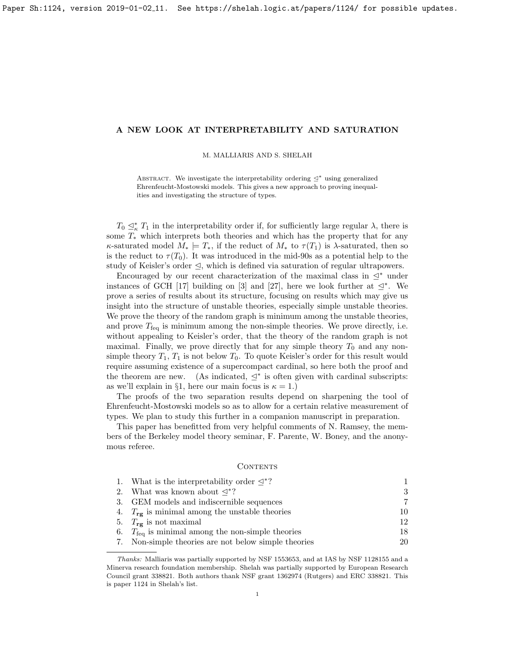#### M. MALLIARIS AND S. SHELAH

ABSTRACT. We investigate the interpretability ordering  $\leq^*$  using generalized Ehrenfeucht-Mostowski models. This gives a new approach to proving inequalities and investigating the structure of types.

 $T_0 \subseteq_{\kappa}^* T_1$  in the interpretability order if, for sufficiently large regular  $\lambda$ , there is some  $T_*$  which interprets both theories and which has the property that for any  $\kappa$ -saturated model  $M_* \models T_*$ , if the reduct of  $M_*$  to  $\tau(T_1)$  is  $\lambda$ -saturated, then so is the reduct to  $\tau(T_0)$ . It was introduced in the mid-90s as a potential help to the study of Keisler's order  $\leq$ , which is defined via saturation of regular ultrapowers.

Encouraged by our recent characterization of the maximal class in  $\leq^*$  under instances of GCH [\[17\]](#page-29-0) building on [\[3\]](#page-29-1) and [\[27\]](#page-30-0), here we look further at  $\leq^*$ . We prove a series of results about its structure, focusing on results which may give us insight into the structure of unstable theories, especially simple unstable theories. We prove the theory of the random graph is minimum among the unstable theories, and prove  $T_{\text{feq}}$  is minimum among the non-simple theories. We prove directly, i.e. without appealing to Keisler's order, that the theory of the random graph is not maximal. Finally, we prove directly that for any simple theory  $T_0$  and any nonsimple theory  $T_1, T_1$  is not below  $T_0$ . To quote Keisler's order for this result would require assuming existence of a supercompact cardinal, so here both the proof and the theorem are new. (As indicated,  $\leq^*$  is often given with cardinal subscripts: as we'll explain in §[1,](#page-1-0) here our main focus is  $\kappa = 1$ .)

The proofs of the two separation results depend on sharpening the tool of Ehrenfeucht-Mostowski models so as to allow for a certain relative measurement of types. We plan to study this further in a companion manuscript in preparation.

This paper has benefitted from very helpful comments of N. Ramsey, the members of the Berkeley model theory seminar, F. Parente, W. Boney, and the anonymous referee.

#### <span id="page-0-0"></span>CONTENTS

| 1. What is the interpretability order $\leq^*$ ?             | 1. |
|--------------------------------------------------------------|----|
| 2. What was known about $\triangleleft^*$ ?                  | 3  |
| 3. GEM models and indiscernible sequences                    | 7  |
| 4. $T_{\text{re}}$ is minimal among the unstable theories    | 10 |
| 5. $T_{\text{re}}$ is not maximal                            | 12 |
| 6. $T_{\text{fea}}$ is minimal among the non-simple theories | 18 |
| 7. Non-simple theories are not below simple theories         | 20 |

Thanks: Malliaris was partially supported by NSF 1553653, and at IAS by NSF 1128155 and a Minerva research foundation membership. Shelah was partially supported by European Research Council grant 338821. Both authors thank NSF grant 1362974 (Rutgers) and ERC 338821. This is paper 1124 in Shelah's list.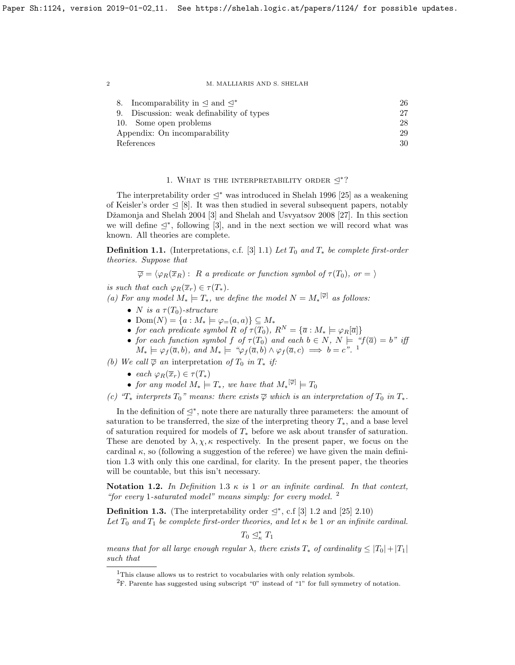| 8. Incomparability in $\triangleleft$ and $\triangleleft^*$ | 26 |
|-------------------------------------------------------------|----|
| 9. Discussion: weak definability of types                   | 27 |
| 10. Some open problems                                      | 28 |
| Appendix: On incomparability                                | 29 |
| References                                                  | 30 |

# 1. WHAT IS THE INTERPRETABILITY ORDER  $\leq^*$ ?

<span id="page-1-0"></span>The interpretability order  $\leq^*$  was introduced in Shelah 1996 [\[25\]](#page-30-1) as a weakening of Keisler's order  $\leq$  [\[8\]](#page-29-2). It was then studied in several subsequent papers, notably Džamonja and Shelah 2004 [\[3\]](#page-29-1) and Shelah and Usvyatsov 2008 [\[27\]](#page-30-0). In this section we will define  $\leq^*$ , following [\[3\]](#page-29-1), and in the next section we will record what was known. All theories are complete.

**Definition 1.1.** (Interpretations, c.f. [\[3\]](#page-29-1) 1.1) Let  $T_0$  and  $T_*$  be complete first-order theories. Suppose that

 $\overline{\varphi} = \langle \varphi_R(\overline{x}_R) : R$  a predicate or function symbol of  $\tau(T_0)$ , or  $= \rangle$ 

is such that each  $\varphi_R(\overline{x}_r) \in \tau(T_*)$ .

(a) For any model  $M_* \models T_*$ , we define the model  $N = M_*^{[\overline{\varphi}]}$  as follows:

- N is a  $\tau(T_0)$ -structure
- Dom $(N) = \{a : M_* \models \varphi_{=}(a,a)\} \subseteq M_*$
- for each predicate symbol R of  $\tau(T_0)$ ,  $R^N = {\overline{a} : M_* \models \varphi_R[\overline{a}]}$
- for each function symbol f of  $\tau(T_0)$  and each  $b \in N$ ,  $N \models$  " $f(\overline{a}) = b$ " iff  $M_* \models \varphi_f(\overline{a}, b)$ , and  $M_* \models {\text{``}}\varphi_f(\overline{a}, b) \land \varphi_f(\overline{a}, c) \implies b = c^{\text{''}}$ .

(b) We call  $\overline{\varphi}$  an interpretation of  $T_0$  in  $T_*$  if:

- each  $\varphi_R(\overline{x}_r) \in \tau(T_*)$
- for any model  $M_* \models T_*$ , we have that  $M_*^{[\overline{\varphi}]} \models T_0$

(c) " $T_*$  interprets  $T_0$ " means: there exists  $\overline{\varphi}$  which is an interpretation of  $T_0$  in  $T_*$ .

In the definition of  $\leq^*$ , note there are naturally three parameters: the amount of saturation to be transferred, the size of the interpreting theory  $T_*$ , and a base level of saturation required for models of  $T_*$  before we ask about transfer of saturation. These are denoted by  $\lambda, \chi, \kappa$  respectively. In the present paper, we focus on the cardinal  $\kappa$ , so (following a suggestion of the referee) we have given the main definition [1.3](#page-1-2) with only this one cardinal, for clarity. In the present paper, the theories will be countable, but this isn't necessary.

Notation [1](#page-1-2).2. In Definition 1.3  $\kappa$  is 1 or an infinite cardinal. In that context, "for every 1-saturated model" means simply: for every model.  $^2$  $^2$ 

<span id="page-1-2"></span>**Definition 1.3.** (The interpretability order  $\leq^*$ , c.f [\[3\]](#page-29-1) 1.2 and [\[25\]](#page-30-1) 2.10) Let  $T_0$  and  $T_1$  be complete first-order theories, and let  $\kappa$  be 1 or an infinite cardinal.

 $T_0 \trianglelefteq^*_{\kappa} T_1$ 

means that for all large enough regular  $\lambda$ , there exists  $T_*$  of cardinality  $\leq |T_0|+|T_1|$ such that

<span id="page-1-1"></span><sup>&</sup>lt;sup>1</sup>This clause allows us to restrict to vocabularies with only relation symbols.

<span id="page-1-3"></span><sup>&</sup>lt;sup>2</sup>F. Parente has suggested using subscript "0" instead of "1" for full symmetry of notation.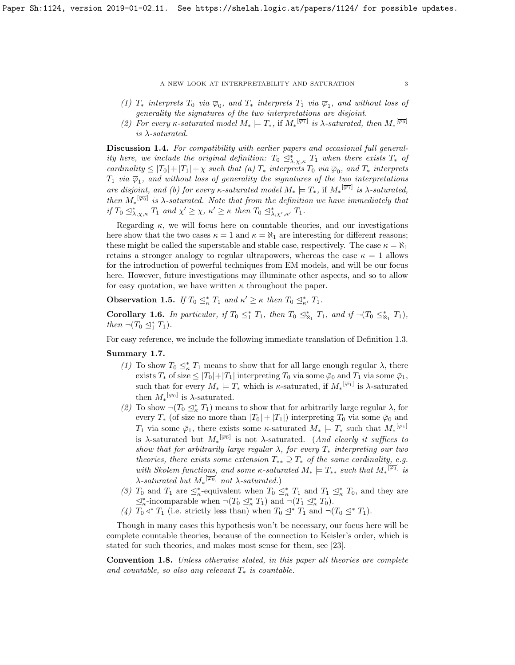(1)  $T_*$  interprets  $T_0$  via  $\overline{\varphi}_0$ , and  $T_*$  interprets  $T_1$  via  $\overline{\varphi}_1$ , and without loss of generality the signatures of the two interpretations are disjoint.

(2) For every  $\kappa$ -saturated model  $M_* \models T_*$ , if  $M_*^{\overline{[\varphi_1]}}$  is  $\lambda$ -saturated, then  $M_*^{\overline{[\varphi_0]}}$ is  $\lambda$ -saturated.

<span id="page-2-0"></span>Discussion 1.4. For compatibility with earlier papers and occasional full generality here, we include the original definition:  $T_0 \leq^*_{\lambda,\chi,\kappa} T_1$  when there exists  $T_*$  of cardinality  $\leq |T_0|+|T_1|+\chi$  such that (a)  $T_*$  interprets  $T_0$  via  $\overline{\varphi}_0$ , and  $T_*$  interprets  $T_1$  via  $\overline{\varphi}_1$ , and without loss of generality the signatures of the two interpretations are disjoint, and (b) for every  $\kappa$ -saturated model  $M_* \models T_*$ , if  $M_*^{\overline{[\varphi_1]}}$  is  $\lambda$ -saturated, then  $M_*^{[\overline{\varphi_0}]}$  is  $\lambda$ -saturated. Note that from the definition we have immediately that if  $T_0 \leq^*_{\lambda,\chi,\kappa} T_1$  and  $\chi' \geq \chi, \kappa' \geq \kappa$  then  $T_0 \leq^*_{\lambda,\chi',\kappa'} T_1$ .

Regarding  $\kappa$ , we will focus here on countable theories, and our investigations here show that the two cases  $\kappa = 1$  and  $\kappa = \aleph_1$  are interesting for different reasons; these might be called the superstable and stable case, respectively. The case  $\kappa = \aleph_1$ retains a stronger analogy to regular ultrapowers, whereas the case  $\kappa = 1$  allows for the introduction of powerful techniques from EM models, and will be our focus here. However, future investigations may illuminate other aspects, and so to allow for easy quotation, we have written  $\kappa$  throughout the paper.

**Observation 1.5.** If  $T_0 \subseteq_{\kappa}^* T_1$  and  $\kappa' \geq \kappa$  then  $T_0 \subseteq_{\kappa'}^* T_1$ .

Corollary 1.6. In particular, if  $T_0 \leq^*_{1} T_1$ , then  $T_0 \leq^*_{R_1} T_1$ , and if  $\neg (T_0 \leq^*_{R_1} T_1)$ , then  $\neg (T_0 \trianglelefteq^*_1 T_1).$ 

For easy reference, we include the following immediate translation of Definition [1.3.](#page-1-2)

# <span id="page-2-1"></span>Summary 1.7.

- (1) To show  $T_0 \subseteq_{\kappa}^* T_1$  means to show that for all large enough regular  $\lambda$ , there exists  $T_*$  of size  $\leq |T_0|+|T_1|$  interpreting  $T_0$  via some  $\bar{\varphi}_0$  and  $T_1$  via some  $\bar{\varphi}_1$ , such that for every  $M_* \models T_*$  which is  $\kappa$ -saturated, if  $M_*^{\overline{[\varphi_1]}}$  is  $\lambda$ -saturated then  $M_*^{[\overline{\varphi_0}]}$  is  $\lambda$ -saturated.
- (2) To show  $\neg (T_0 \trianglelefteq^*_{\kappa} T_1)$  means to show that for arbitrarily large regular  $\lambda$ , for every  $T_*$  (of size no more than  $|T_0| + |T_1|$ ) interpreting  $T_0$  via some  $\bar{\varphi}_0$  and  $T_1$  via some  $\bar{\varphi}_1$ , there exists some  $\kappa$ -saturated  $M_* \models T_*$  such that  $M_*^{\overline{[\varphi_1]}}$ is  $\lambda$ -saturated but  $M_*^{\overline{[\varphi_0]}}$  is not  $\lambda$ -saturated. (And clearly it suffices to show that for arbitrarily large regular  $\lambda$ , for every  $T_*$  interpreting our two theories, there exists some extension  $T_{**} \supseteq T_*$  of the same cardinality, e.g. with Skolem functions, and some  $\kappa$ -saturated  $M_* \models T_{**}$  such that  $M_*^{\overline{|\varphi_1|}}$  is  $\lambda$ -saturated but  $M_*^{[\overline{\varphi_0}]}$  not  $\lambda$ -saturated.)
- (3)  $T_0$  and  $T_1$  are  $\leq^*_{\kappa}$ -equivalent when  $T_0 \leq^*_{\kappa} T_1$  and  $T_1 \leq^*_{\kappa} T_0$ , and they are  $\leq_{\kappa}^*$ -incomparable when  $\neg (T_0 \leq_{\kappa}^* T_1)$  and  $\neg (T_1 \leq_{\kappa}^* T_0)$ .
- (4)  $T_0 \triangleleft^* T_1$  (i.e. strictly less than) when  $T_0 \trianglelefteq^* T_1$  and  $\neg (T_0 \trianglelefteq^* T_1)$ .

Though in many cases this hypothesis won't be necessary, our focus here will be complete countable theories, because of the connection to Keisler's order, which is stated for such theories, and makes most sense for them, see [\[23\]](#page-30-2).

Convention 1.8. Unless otherwise stated, in this paper all theories are complete and countable, so also any relevant  $T_*$  is countable.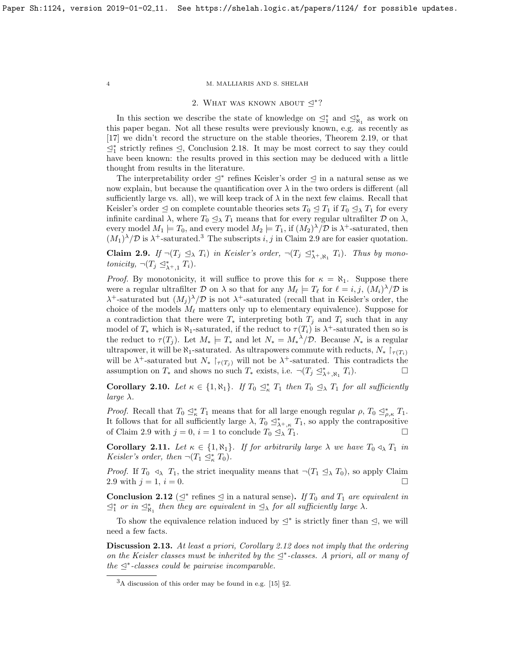#### 2. WHAT WAS KNOWN ABOUT  $\triangleq$ <sup>\*</sup>?

<span id="page-3-0"></span>In this section we describe the state of knowledge on  $\leq^*_{1}$  and  $\leq^*_{\aleph_1}$  as work on this paper began. Not all these results were previously known, e.g. as recently as [\[17\]](#page-29-0) we didn't record the structure on the stable theories, Theorem [2.19,](#page-5-0) or that  $\leq^*_1$  strictly refines  $\leq$ , Conclusion [2.18.](#page-4-0) It may be most correct to say they could have been known: the results proved in this section may be deduced with a little thought from results in the literature.

The interpretability order  $\leq^*$  refines Keisler's order  $\leq$  in a natural sense as we now explain, but because the quantification over  $\lambda$  in the two orders is different (all sufficiently large vs. all), we will keep track of  $\lambda$  in the next few claims. Recall that Keisler's order  $\leq$  on complete countable theories sets  $T_0 \leq T_1$  if  $T_0 \leq_\lambda T_1$  for every infinite cardinal  $\lambda$ , where  $T_0 \leq_\lambda T_1$  means that for every regular ultrafilter  $\mathcal D$  on  $\lambda$ , every model  $M_1 \models T_0$ , and every model  $M_2 \models T_1$ , if  $(M_2)^{\lambda}/\mathcal{D}$  is  $\lambda^+$ -saturated, then  $(M_1)^{\lambda}/\mathcal{D}$  is  $\lambda^+$ -saturated.<sup>[3](#page-3-1)</sup> The subscripts i, j in Claim [2.9](#page-3-2) are for easier quotation.

<span id="page-3-2"></span>**Claim 2.9.** If  $\neg (T_j \trianglelefteq_\lambda T_i)$  in Keisler's order,  $\neg (T_j \trianglelefteq^*_{\lambda^+, \aleph_1} T_i)$ . Thus by monotonicity,  $\neg (T_j \trianglelefteq^*_{\lambda^+,1} T_i)$ .

*Proof.* By monotonicity, it will suffice to prove this for  $\kappa = \aleph_1$ . Suppose there were a regular ultrafilter D on  $\lambda$  so that for any  $M_\ell \models T_\ell$  for  $\ell = i, j, (M_i)^\lambda / \mathcal{D}$  is  $\lambda^+$ -saturated but  $(M_j)^{\lambda}/\mathcal{D}$  is not  $\lambda^+$ -saturated (recall that in Keisler's order, the choice of the models  $M_\ell$  matters only up to elementary equivalence). Suppose for a contradiction that there were  $T_*$  interpreting both  $T_i$  and  $T_i$  such that in any model of  $T_*$  which is  $\aleph_1$ -saturated, if the reduct to  $\tau(T_i)$  is  $\lambda^+$ -saturated then so is the reduct to  $\tau(T_j)$ . Let  $M_* \models T_*$  and let  $N_* = M_*^2/D$ . Because  $N_*$  is a regular ultrapower, it will be  $\aleph_1$ -saturated. As ultrapowers commute with reducts,  $N_* \upharpoonright_{\tau(T_i)}$ will be  $\lambda^+$ -saturated but  $N_* \upharpoonright_{\tau(T_j)}$  will not be  $\lambda^+$ -saturated. This contradicts the assumption on  $T_*$  and shows no such  $T_*$  exists, i.e.  $\neg (T_j \trianglelefteq^*_{\lambda^+, \aleph_1} T_i)$ .

**Corollary 2.10.** Let  $\kappa \in \{1, \aleph_1\}$ . If  $T_0 \leq^*_{\kappa} T_1$  then  $T_0 \leq^*_{\lambda} T_1$  for all sufficiently  $large \lambda$ .

*Proof.* Recall that  $T_0 \subseteq_{\kappa}^* T_1$  means that for all large enough regular  $\rho$ ,  $T_0 \subseteq_{\rho,\kappa}^* T_1$ . It follows that for all sufficiently large  $\lambda$ ,  $T_0 \leq^*_{\lambda^+, \kappa} T_1$ , so apply the contrapositive of Claim [2.9](#page-3-2) with  $j = 0$ ,  $i = 1$  to conclude  $T_0 \mathcal{Q}_\lambda T_1$ .

<span id="page-3-4"></span>**Corollary 2.11.** Let  $\kappa \in \{1, \aleph_1\}$ . If for arbitrarily large  $\lambda$  we have  $T_0 \triangleleft_{\lambda} T_1$  in Keisler's order, then  $\neg (T_1 \trianglelefteq^*_{\kappa} T_0)$ .

*Proof.* If  $T_0 \triangleleft_{\lambda} T_1$ , the strict inequality means that  $\neg (T_1 \trianglelefteq_{\lambda} T_0)$ , so apply Claim [2.9](#page-3-2) with  $j = 1, i = 0.$ 

<span id="page-3-3"></span>**Conclusion 2.12** ( $\leq^*$  refines  $\leq$  in a natural sense). If  $T_0$  and  $T_1$  are equivalent in  $\leq^*_{1}$  or in  $\leq^*_{\aleph_1}$  then they are equivalent in  $\leq_{\lambda}$  for all sufficiently large  $\lambda$ .

To show the equivalence relation induced by  $\leq^*$  is strictly finer than  $\leq$ , we will need a few facts.

Discussion 2.13. At least a priori, Corollary [2.12](#page-3-3) does not imply that the ordering on the Keisler classes must be inherited by the  $\leq^*$ -classes. A priori, all or many of the  $\triangleq^*$ -classes could be pairwise incomparable.

<span id="page-3-1"></span> ${}^{3}$ A discussion of this order may be found in e.g. [\[15\]](#page-29-3)  $\S$ 2.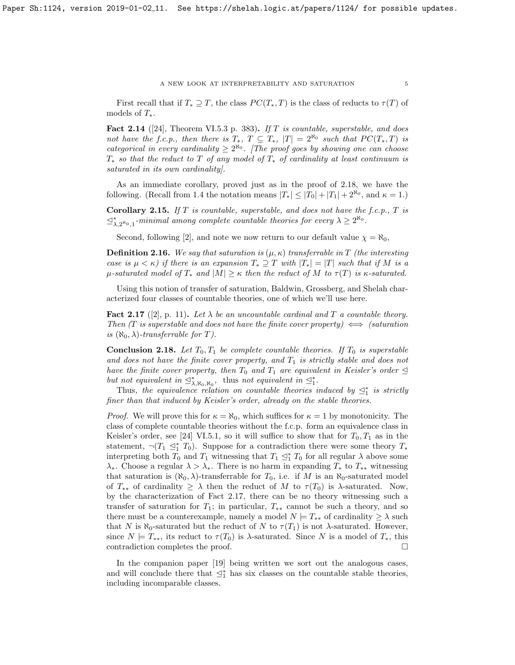#### A NEW LOOK AT INTERPRETABILITY AND SATURATION  $\hspace{0.5cm}$  5

First recall that if  $T_* \supseteq T$ , the class  $PC(T_*, T)$  is the class of reducts to  $\tau(T)$  of models of  $T_*$ .

Fact 2.14 ([\[24\]](#page-30-3), Theorem VI.5.3 p. 383). If  $T$  is countable, superstable, and does not have the f.c.p., then there is  $T_*, T \subseteq T_*, |T| = 2^{\aleph_0}$  such that  $PC(T_*, T)$  is categorical in every cardinality  $\geq 2^{\aleph_0}$ . [The proof goes by showing one can choose  $T_*$  so that the reduct to T of any model of  $T_*$  of cardinality at least continuum is saturated in its own cardinality].

As an immediate corollary, proved just as in the proof of [2.18,](#page-4-0) we have the following. (Recall from [1.4](#page-2-0) the notation means  $|T_*| \leq |T_0| + |T_1| + 2^{\aleph_0}$ , and  $\kappa = 1$ .)

**Corollary 2.15.** If T is countable, superstable, and does not have the f.c.p., T is  $\leq^*_{\lambda,2^{\aleph_0},1}$ -minimal among complete countable theories for every  $\lambda \geq 2^{\aleph_0}$ .

Second, following [\[2\]](#page-29-4), and note we now return to our default value  $\chi = \aleph_0$ ,

**Definition 2.16.** We say that saturation is  $(\mu, \kappa)$  transferrable in T (the interesting case is  $\mu < \kappa$ ) if there is an expansion  $T_* \supseteq T$  with  $|T_*| = |T|$  such that if M is a  $\mu$ -saturated model of  $T_*$  and  $|M| \geq \kappa$  then the reduct of M to  $\tau(T)$  is  $\kappa$ -saturated.

Using this notion of transfer of saturation, Baldwin, Grossberg, and Shelah characterized four classes of countable theories, one of which we'll use here.

<span id="page-4-1"></span>**Fact 2.17** ([\[2\]](#page-29-4), p. 11). Let  $\lambda$  be an uncountable cardinal and T a countable theory. Then (T is superstable and does not have the finite cover property)  $\iff$  (saturation is  $(\aleph_0, \lambda)$ -transferrable for T).

<span id="page-4-0"></span>**Conclusion 2.18.** Let  $T_0, T_1$  be complete countable theories. If  $T_0$  is superstable and does not have the finite cover property, and  $T_1$  is strictly stable and does not have the finite cover property, then  $T_0$  and  $T_1$  are equivalent in Keisler's order  $\trianglelefteq$ but not equivalent in  $\mathcal{L}_{\lambda, \aleph_0, \aleph_0}^*$ , thus not equivalent in  $\mathcal{L}_1^*$ .

Thus, the equivalence relation on countable theories induced by  $\mathcal{Q}_1^*$  is strictly finer than that induced by Keisler's order, already on the stable theories.

*Proof.* We will prove this for  $\kappa = \aleph_0$ , which suffices for  $\kappa = 1$  by monotonicity. The class of complete countable theories without the f.c.p. form an equivalence class in Keisler's order, see [\[24\]](#page-30-3) VI.5.1, so it will suffice to show that for  $T_0, T_1$  as in the statement,  $\neg (T_1 \trianglelefteq^*_{1} T_0)$ . Suppose for a contradiction there were some theory  $T_*$ interpreting both  $T_0$  and  $T_1$  witnessing that  $T_1 \nleq_1^* T_0$  for all regular  $\lambda$  above some  $\lambda_*$ . Choose a regular  $\lambda > \lambda_*$ . There is no harm in expanding  $T_*$  to  $T_{**}$  witnessing that saturation is  $(\aleph_0, \lambda)$ -transferrable for  $T_0$ , i.e. if M is an  $\aleph_0$ -saturated model of  $T_{**}$  of cardinality  $\geq \lambda$  then the reduct of M to  $\tau(T_0)$  is  $\lambda$ -saturated. Now, by the characterization of Fact [2.17,](#page-4-1) there can be no theory witnessing such a transfer of saturation for  $T_1$ ; in particular,  $T_{**}$  cannot be such a theory, and so there must be a counterexample, namely a model  $N \models T_{**}$  of cardinality  $\geq \lambda$  such that N is  $\aleph_0$ -saturated but the reduct of N to  $\tau(T_1)$  is not  $\lambda$ -saturated. However, since  $N \models T_{**}$ , its reduct to  $\tau(T_0)$  is  $\lambda$ -saturated. Since N is a model of  $T_*$ , this contradiction completes the proof.

In the companion paper [\[19\]](#page-30-4) being written we sort out the analogous cases, and will conclude there that  $\preceq_1^*$  has six classes on the countable stable theories, including incomparable classes.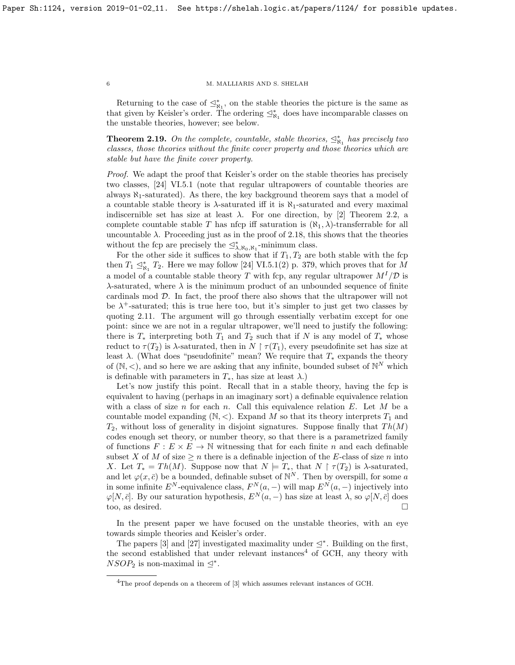Returning to the case of  $\leq^*_{\aleph_1}$ , on the stable theories the picture is the same as that given by Keisler's order. The ordering  $\leq^*_{\aleph_1}$  does have incomparable classes on the unstable theories, however; see below.

<span id="page-5-0"></span>**Theorem 2.19.** On the complete, countable, stable theories,  $\leq^*_{\aleph_1}$  has precisely two classes, those theories without the finite cover property and those theories which are stable but have the finite cover property.

Proof. We adapt the proof that Keisler's order on the stable theories has precisely two classes, [\[24\]](#page-30-3) VI.5.1 (note that regular ultrapowers of countable theories are always  $\aleph_1$ -saturated). As there, the key background theorem says that a model of a countable stable theory is  $\lambda$ -saturated iff it is  $\aleph_1$ -saturated and every maximal indiscernible set has size at least  $\lambda$ . For one direction, by [\[2\]](#page-29-4) Theorem 2.2, a complete countable stable T has nfcp iff saturation is  $(\aleph_1, \lambda)$ -transferrable for all uncountable  $\lambda$ . Proceeding just as in the proof of [2.18,](#page-4-0) this shows that the theories without the fcp are precisely the  $\leq^*_{\lambda, \aleph_0, \aleph_1}$ -minimum class.

For the other side it suffices to show that if  $T_1, T_2$  are both stable with the fcp then  $T_1 \leq_{\aleph_1}^* T_2$ . Here we may follow [\[24\]](#page-30-3) VI.5.1(2) p. 379, which proves that for M a model of a countable stable theory  $T$  with fcp, any regular ultrapower  $M^{I}/\mathcal{D}$  is  $\lambda$ -saturated, where  $\lambda$  is the minimum product of an unbounded sequence of finite cardinals mod D. In fact, the proof there also shows that the ultrapower will not be  $\lambda^+$ -saturated; this is true here too, but it's simpler to just get two classes by quoting [2.11.](#page-3-4) The argument will go through essentially verbatim except for one point: since we are not in a regular ultrapower, we'll need to justify the following: there is  $T_*$  interpreting both  $T_1$  and  $T_2$  such that if N is any model of  $T_*$  whose reduct to  $\tau(T_2)$  is  $\lambda$ -saturated, then in  $N \restriction \tau(T_1)$ , every pseudofinite set has size at least  $\lambda$ . (What does "pseudofinite" mean? We require that  $T_*$  expands the theory of  $(N, <)$ , and so here we are asking that any infinite, bounded subset of  $\mathbb{N}^N$  which is definable with parameters in  $T_*$ , has size at least  $\lambda$ .)

Let's now justify this point. Recall that in a stable theory, having the fcp is equivalent to having (perhaps in an imaginary sort) a definable equivalence relation with a class of size n for each n. Call this equivalence relation  $E$ . Let  $M$  be a countable model expanding  $(N, <)$ . Expand M so that its theory interprets  $T_1$  and  $T_2$ , without loss of generality in disjoint signatures. Suppose finally that  $Th(M)$ codes enough set theory, or number theory, so that there is a parametrized family of functions  $F: E \times E \to \mathbb{N}$  witnessing that for each finite n and each definable subset X of M of size  $\geq n$  there is a definable injection of the E-class of size n into X. Let  $T_* = Th(M)$ . Suppose now that  $N \models T_*$ , that  $N \restriction \tau(T_2)$  is  $\lambda$ -saturated, and let  $\varphi(x,\bar{c})$  be a bounded, definable subset of  $\mathbb{N}^N$ . Then by overspill, for some a in some infinite  $E^N$ -equivalence class,  $F^N(a, -)$  will map  $E^N(a, -)$  injectively into  $\varphi[N,\bar{c}]$ . By our saturation hypothesis,  $E^N(a,-)$  has size at least  $\lambda$ , so  $\varphi[N,\bar{c}]$  does too, as desired.

In the present paper we have focused on the unstable theories, with an eye towards simple theories and Keisler's order.

The papers [\[3\]](#page-29-1) and [\[27\]](#page-30-0) investigated maximality under  $\leq^*$ . Building on the first, the second established that under relevant instances<sup>[4](#page-5-1)</sup> of GCH, any theory with  $NSOP_2$  is non-maximal in  $\leq^*$ .

<span id="page-5-1"></span> ${}^{4}$ The proof depends on a theorem of [\[3\]](#page-29-1) which assumes relevant instances of GCH.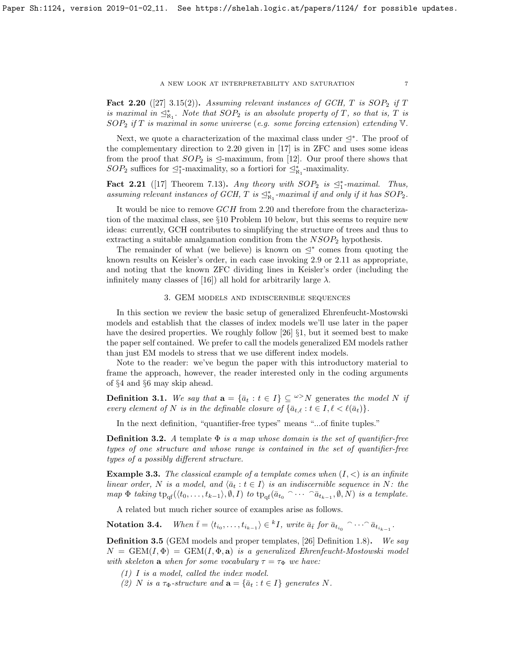#### A NEW LOOK AT INTERPRETABILITY AND SATURATION  $\hspace{0.5cm} 7$

<span id="page-6-1"></span>**Fact 2.20** ([\[27\]](#page-30-0) 3.15(2)). Assuming relevant instances of GCH, T is  $SOP_2$  if T is maximal in  $\mathcal{L}_{N_1}^*$ . Note that  $SOP_2$  is an absolute property of T, so that is, T is  $SOP_2$  if T is maximal in some universe (e.g. some forcing extension) extending  $\mathbb {V}$ .

Next, we quote a characterization of the maximal class under  $\leq^*$ . The proof of the complementary direction to [2.20](#page-6-1) given in [\[17\]](#page-29-0) is in ZFC and uses some ideas from the proof that  $SOP_2$  is  $\trianglelefteq$ -maximum, from [\[12\]](#page-29-5). Our proof there shows that  $SOP_2$  suffices for  $\leq_1^*$ -maximality, so a fortiori for  $\leq_{\aleph_1}^*$ -maximality.

<span id="page-6-4"></span>Fact 2.21 ([\[17\]](#page-29-0) Theorem 7.13). Any theory with  $SOP_2$  is  $\leq_1^*$ -maximal. Thus, assuming relevant instances of GCH, T is  $\leq^*_{\aleph_1}$ -maximal if and only if it has  $SOP_2$ .

It would be nice to remove GCH from [2.20](#page-6-1) and therefore from the characterization of the maximal class, see §[10](#page-27-0) Problem [10](#page-27-1) below, but this seems to require new ideas: currently, GCH contributes to simplifying the structure of trees and thus to extracting a suitable amalgamation condition from the  $NSOP<sub>2</sub>$  hypothesis.

The remainder of what (we believe) is known on  $\leq^*$  comes from quoting the known results on Keisler's order, in each case invoking [2.9](#page-3-2) or [2.11](#page-3-4) as appropriate, and noting that the known ZFC dividing lines in Keisler's order (including the infinitely many classes of [\[16\]](#page-29-6)) all hold for arbitrarily large  $\lambda$ .

## 3. GEM models and indiscernible sequences

<span id="page-6-0"></span>In this section we review the basic setup of generalized Ehrenfeucht-Mostowski models and establish that the classes of index models we'll use later in the paper have the desired properties. We roughly follow [\[26\]](#page-30-5) §1, but it seemed best to make the paper self contained. We prefer to call the models generalized EM models rather than just EM models to stress that we use different index models.

Note to the reader: we've begun the paper with this introductory material to frame the approach, however, the reader interested only in the coding arguments of §[4](#page-9-0) and §[6](#page-17-0) may skip ahead.

**Definition 3.1.** We say that  $\mathbf{a} = {\bar{a}_t : t \in I} \subseteq \mathbb{R}^D$  generates the model N if every element of N is in the definable closure of  $\{\bar{a}_{t,\ell} : t \in I, \ell < \ell(\bar{a}_t)\}.$ 

In the next definition, "quantifier-free types" means "...of finite tuples."

**Definition 3.2.** A template  $\Phi$  is a map whose domain is the set of quantifier-free types of one structure and whose range is contained in the set of quantifier-free types of a possibly different structure.

<span id="page-6-3"></span>**Example 3.3.** The classical example of a template comes when  $(I, \leq)$  is an infinite linear order, N is a model, and  $\langle \bar{a}_t : t \in I \rangle$  is an indiscernible sequence in N: the map  $\Phi$  taking  $tp_{\text{qf}}(\langle t_0,\ldots,t_{k-1}\rangle,\emptyset,I)$  to  $tp_{\text{qf}}(\bar{a}_{t_0} \cap \cdots \cap \bar{a}_{t_{k-1}},\emptyset,N)$  is a template.

A related but much richer source of examples arise as follows.

**Notation 3.4.** When  $\bar{t} = \langle t_{i_0}, \ldots, t_{i_{k-1}} \rangle \in {}^k I$ , write  $\bar{a}_{\bar{t}}$  for  $\bar{a}_{t_{i_0}} \cap \cdots \cap \bar{a}_{t_{i_{k-1}}}$ .

<span id="page-6-2"></span>Definition 3.5 (GEM models and proper templates, [\[26\]](#page-30-5) Definition 1.8). We say  $N = \text{GEM}(I, \Phi) = \text{GEM}(I, \Phi, \mathbf{a})$  is a generalized Ehrenfeucht-Mostowski model with skeleton **a** when for some vocabulary  $\tau = \tau_{\Phi}$  we have:

(1) I is a model, called the index model.

(2) N is a  $\tau_{\Phi}$ -structure and  $\mathbf{a} = {\overline{a}_t : t \in I}$  generates N.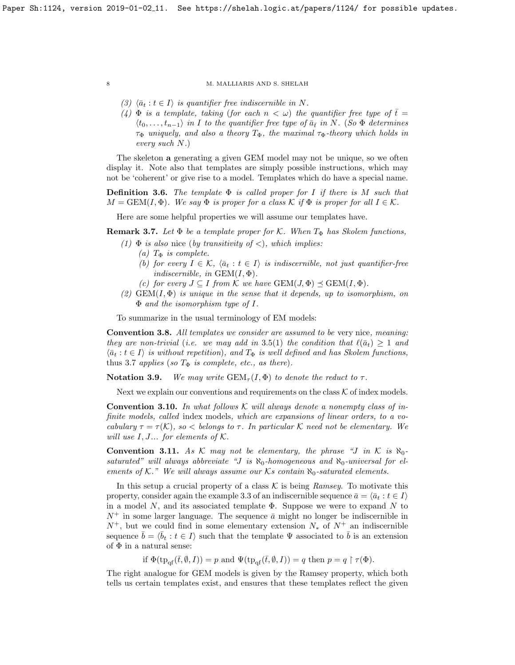- (3)  $\langle \bar{a}_t : t \in I \rangle$  is quantifier free indiscernible in N.
- (4)  $\Phi$  is a template, taking (for each  $n < \omega$ ) the quantifier free type of  $\bar{t} =$  $\langle t_0, \ldots, t_{n-1} \rangle$  in I to the quantifier free type of  $\bar{a}_{\bar{t}}$  in N. (So  $\Phi$  determines  $\tau_{\Phi}$  uniquely, and also a theory  $T_{\Phi}$ , the maximal  $\tau_{\Phi}$ -theory which holds in every such N.)

The skeleton a generating a given GEM model may not be unique, so we often display it. Note also that templates are simply possible instructions, which may not be 'coherent' or give rise to a model. Templates which do have a special name.

**Definition 3.6.** The template  $\Phi$  is called proper for I if there is M such that  $M = \text{GEM}(I, \Phi)$ . We say  $\Phi$  is proper for a class K if  $\Phi$  is proper for all  $I \in \mathcal{K}$ .

Here are some helpful properties we will assume our templates have.

<span id="page-7-0"></span>**Remark 3.7.** Let  $\Phi$  be a template proper for K. When  $T_{\Phi}$  has Skolem functions,

- (1)  $\Phi$  is also nice (by transitivity of <), which implies:
	- (a)  $T_{\Phi}$  is complete.
	- (b) for every  $I \in \mathcal{K}$ ,  $\langle \bar{a}_t : t \in I \rangle$  is indiscernible, not just quantifier-free indiscernible, in  $GEM(I, \Phi)$ .
	- (c) for every  $J \subseteq I$  from K we have  $GEM(J, \Phi) \preceq GEM(I, \Phi)$ .
- (2)  $GEM(I, \Phi)$  is unique in the sense that it depends, up to isomorphism, on Φ and the isomorphism type of I.

To summarize in the usual terminology of EM models:

<span id="page-7-1"></span>Convention 3.8. All templates we consider are assumed to be very nice, meaning: they are non-trivial (i.e. we may add in 3.[5\(](#page-6-2)1) the condition that  $\ell(\bar{a}_t) \geq 1$  and  $\langle \bar{a}_t : t \in I \rangle$  is without repetition), and  $T_{\Phi}$  is well defined and has Skolem functions, thus [3](#page-7-0).7 applies (so  $T_{\Phi}$  is complete, etc., as there).

**Notation 3.9.** We may write  $GEM_{\tau}(I, \Phi)$  to denote the reduct to  $\tau$ .

Next we explain our conventions and requirements on the class  $K$  of index models.

**Convention 3.10.** In what follows  $\mathcal K$  will always denote a nonempty class of infinite models, called index models, which are expansions of linear orders, to a vocabulary  $\tau = \tau(\mathcal{K})$ , so  $\lt$  belongs to  $\tau$ . In particular  $\mathcal K$  need not be elementary. We will use  $I, J...$  for elements of  $K.$ 

<span id="page-7-2"></span>**Convention 3.11.** As K may not be elementary, the phrase "J in K is  $\aleph_0$ saturated" will always abbreviate "J is  $\aleph_0$ -homogeneous and  $\aleph_0$ -universal for elements of K." We will always assume our Ks contain  $\aleph_0$ -saturated elements.

In this setup a crucial property of a class  $K$  is being Ramsey. To motivate this property, consider again the example [3.3](#page-6-3) of an indiscernible sequence  $\bar{a} = \langle \bar{a}_t : t \in I \rangle$ in a model  $N$ , and its associated template  $\Phi$ . Suppose we were to expand  $N$  to  $N^+$  in some larger language. The sequence  $\bar{a}$  might no longer be indiscernible in  $N^+$ , but we could find in some elementary extension  $N_*$  of  $N^+$  an indiscernible sequence  $\bar{b} = \langle \bar{b}_t : t \in I \rangle$  such that the template  $\Psi$  associated to  $\bar{b}$  is an extension of  $\Phi$  in a natural sense:

if  $\Phi(\text{tp}_{\text{of}}(\bar{t},\emptyset,I)) = p$  and  $\Psi(\text{tp}_{\text{of}}(\bar{t},\emptyset,I)) = q$  then  $p = q \restriction \tau(\Phi)$ .

The right analogue for GEM models is given by the Ramsey property, which both tells us certain templates exist, and ensures that these templates reflect the given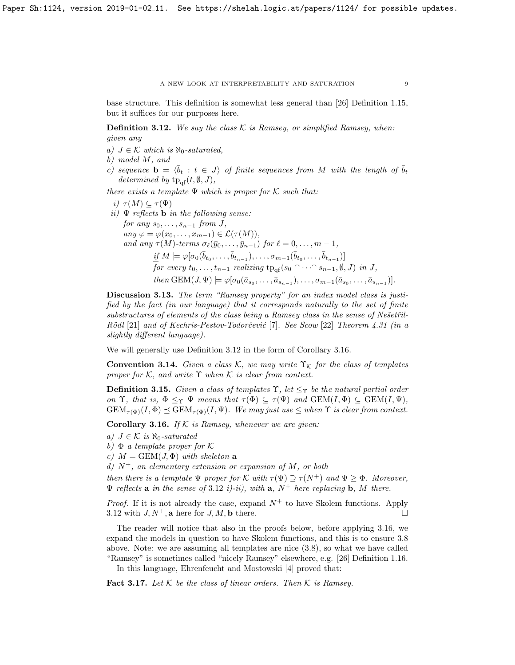base structure. This definition is somewhat less general than [\[26\]](#page-30-5) Definition 1.15, but it suffices for our purposes here.

<span id="page-8-0"></span>**Definition 3.12.** We say the class  $K$  is Ramsey, or simplified Ramsey, when: given any

- a)  $J \in \mathcal{K}$  which is  $\aleph_0$ -saturated,
- b) model M, and
- c) sequence  $\mathbf{b} = \langle \bar{b}_t : t \in J \rangle$  of finite sequences from M with the length of  $\bar{b}_t$ determined by  $tp_{\text{of}}(t, \emptyset, J)$ ,

there exists a template  $\Psi$  which is proper for K such that:

i)  $\tau(M) \subseteq \tau(\Psi)$ ii)  $\Psi$  reflects **b** in the following sense: for any  $s_0, \ldots, s_{n-1}$  from J, any  $\varphi = \varphi(x_0, \ldots, x_{m-1}) \in \mathcal{L}(\tau(M)),$ and any  $\tau(M)$ -terms  $\sigma_\ell(\bar{y}_0, \ldots, \bar{y}_{n-1})$  for  $\ell = 0, \ldots, m - 1$ ,  $\textit{if } M \models \varphi[\sigma_0(\bar{b}_{t_0}, \ldots, \bar{b}_{t_{n-1}}), \ldots, \sigma_{m-1}(\bar{b}_{t_0}, \ldots, \bar{b}_{t_{n-1}})]$  $\overline{f}$ or every  $t_0, \ldots, t_{n-1}$  realizing  ${\rm tp}_{{\rm qf}}(s_0 \cap \cdots \cap s_{n-1}, \emptyset, J)$  in  $J,$  $\underline{then} \text{ GEM}(J, \Psi) \models \varphi[\sigma_0(\bar{a}_{s_0}, \ldots, \bar{a}_{s_{n-1}}), \ldots, \sigma_{m-1}(\bar{a}_{s_0}, \ldots, \bar{a}_{s_{n-1}})].$ 

Discussion 3.13. The term "Ramsey property" for an index model class is justified by the fact (in our language) that it corresponds naturally to the set of finite  $substructures of elements of the class being a Ramsey class in the sense of Nešetřil Rödl$  [\[21\]](#page-30-6) and of Kechris-Pestov-Todorčević [\[7\]](#page-29-7). See Scow [\[22\]](#page-30-7) Theorem 4.31 (in a slightly different language).

We will generally use Definition [3.12](#page-8-0) in the form of Corollary [3.16.](#page-8-1)

**Convention 3.14.** Given a class K, we may write  $\Upsilon_K$  for the class of templates proper for K, and write  $\Upsilon$  when K is clear from context.

<span id="page-8-2"></span>**Definition 3.15.** Given a class of templates  $\Upsilon$ , let  $\leq_{\Upsilon}$  be the natural partial order on  $\Upsilon$ , that is,  $\Phi \leq_{\Upsilon} \Psi$  means that  $\tau(\Phi) \subseteq \tau(\Psi)$  and  $GEM(I, \Phi) \subseteq GEM(I, \Psi)$ ,  $GEM_{\tau(\Phi)}(I, \Phi) \preceq GEM_{\tau(\Phi)}(I, \Psi)$ . We may just use  $\leq$  when  $\Upsilon$  is clear from context.

<span id="page-8-1"></span>Corollary 3.16. If  $K$  is Ramsey, whenever we are given:

- b)  $\Phi$  a template proper for K
- c)  $M = \text{GEM}(J, \Phi)$  with skeleton a
- d)  $N^+$ , an elementary extension or expansion of M, or both

then there is a template  $\Psi$  proper for K with  $\tau(\Psi) \supseteq \tau(N^+)$  and  $\Psi \geq \Phi$ . Moreover,  $\Psi$  reflects a in the sense of 3.[12](#page-8-0) i)-ii), with a,  $N^+$  here replacing b, M there.

*Proof.* If it is not already the case, expand  $N^+$  to have Skolem functions. Apply [3.12](#page-8-0) with  $J, N^+$ , a here for  $J, M$ , b there.

The reader will notice that also in the proofs below, before applying [3.16,](#page-8-1) we expand the models in question to have Skolem functions, and this is to ensure [3.8](#page-7-1) above. Note: we are assuming all templates are nice [\(3.8\)](#page-7-1), so what we have called "Ramsey" is sometimes called "nicely Ramsey" elsewhere, e.g. [\[26\]](#page-30-5) Definition 1.16.

In this language, Ehrenfeucht and Mostowski [\[4\]](#page-29-8) proved that:

Fact 3.17. Let  $K$  be the class of linear orders. Then  $K$  is Ramsey.

a)  $J \in \mathcal{K}$  is  $\aleph_0$ -saturated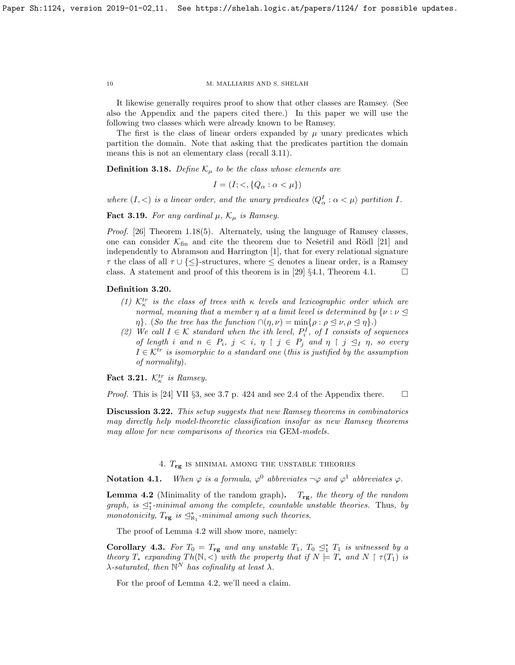It likewise generally requires proof to show that other classes are Ramsey. (See also the Appendix and the papers cited there.) In this paper we will use the following two classes which were already known to be Ramsey.

The first is the class of linear orders expanded by  $\mu$  unary predicates which partition the domain. Note that asking that the predicates partition the domain means this is not an elementary class (recall [3.11\)](#page-7-2).

<span id="page-9-2"></span>**Definition 3.18.** Define  $\mathcal{K}_{\mu}$  to be the class whose elements are

 $I = (I; <, \{Q_\alpha : \alpha < \mu\})$ 

where  $(I, <)$  is a linear order, and the unary predicates  $\langle Q_{\alpha}^I : \alpha < \mu \rangle$  partition I.

**Fact 3.19.** For any cardinal  $\mu$ ,  $\mathcal{K}_{\mu}$  is Ramsey.

Proof. [\[26\]](#page-30-5) Theorem 1.18(5). Alternately, using the language of Ramsey classes, one can consider  $K<sub>fin</sub>$  and cite the theorem due to Nešetřil and Rödl [\[21\]](#page-30-6) and independently to Abramson and Harrington [\[1\]](#page-29-9), that for every relational signature  $\tau$  the class of all  $\tau \cup \{\leq\}$ -structures, where  $\leq$  denotes a linear order, is a Ramsey class. A statement and proof of this theorem is in [\[29\]](#page-30-8) §4.1, Theorem 4.1.  $\Box$ 

# <span id="page-9-3"></span>Definition 3.20.

- (1)  $\mathcal{K}_{\kappa}^{tr}$  is the class of trees with  $\kappa$  levels and lexicographic order which are normal, meaning that a member  $\eta$  at a limit level is determined by  $\{\nu : \nu \leq$  $\eta$ . (So the tree has the function  $\cap(\eta,\nu) = \min\{\rho : \rho \leq \nu, \rho \leq \eta\}.$ )
- (2) We call  $I \in \mathcal{K}$  standard when the ith level,  $P_i^I$ , of I consists of sequences of length i and  $n \in P_i$ ,  $j \leq i$ ,  $\eta \restriction j \in P_j$  and  $\eta \restriction j \leq_I \eta$ , so every  $I \in \mathcal{K}^{tr}$  is isomorphic to a standard one (this is justified by the assumption of normality).

Fact 3.21.  $\mathcal{K}_{\kappa}^{tr}$  is Ramsey.

*Proof.* This is [\[24\]](#page-30-3) VII §3, see 3.7 p. 424 and see 2.4 of the Appendix there.  $\square$ 

**Discussion 3.22.** This setup suggests that new Ramsey theorems in combinatorics may directly help model-theoretic classification insofar as new Ramsey theorems may allow for new comparisons of theories via GEM-models.

# 4.  $T_{\text{rg}}$  is minimal among the unstable theories

<span id="page-9-0"></span>**Notation 4.1.** When  $\varphi$  is a formula,  $\varphi^0$  abbreviates  $\neg \varphi$  and  $\varphi^1$  abbreviates  $\varphi$ .

<span id="page-9-1"></span>**Lemma 4.2** (Minimality of the random graph).  $T_{rg}$ , the theory of the random graph, is  $\preceq_1^*$ -minimal among the complete, countable unstable theories. Thus, by monotonicity,  $T_{\text{rg}}$  is  $\trianglelefteq^*_{\aleph_1}$ -minimal among such theories.

The proof of Lemma [4.2](#page-9-1) will show more, namely:

Corollary 4.3. For  $T_0 = T_{\text{rg}}$  and any unstable  $T_1$ ,  $T_0 \leq_1^* T_1$  is witnessed by a theory  $T_*$  expanding  $Th(N, <)$  with the property that if  $N \models T_*$  and  $N \restriction \tau(T_1)$  is  $\lambda$ -saturated, then  $\mathbb{N}^N$  has cofinality at least  $\lambda$ .

For the proof of Lemma [4.2,](#page-9-1) we'll need a claim.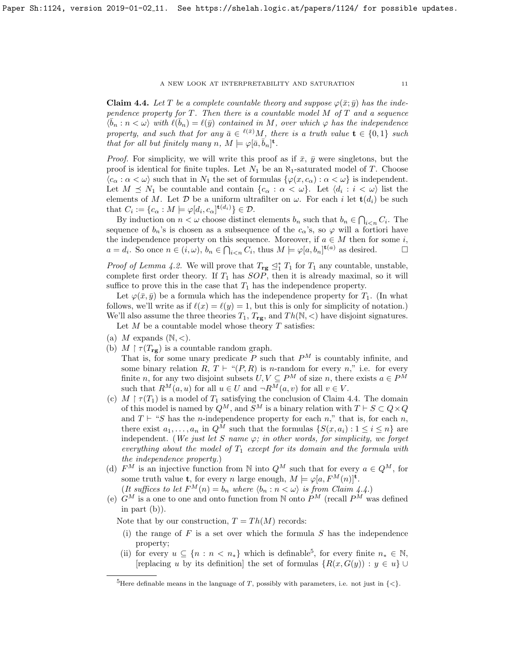<span id="page-10-0"></span>**Claim 4.4.** Let T be a complete countable theory and suppose  $\varphi(\bar{x}; \bar{y})$  has the independence property for  $T$ . Then there is a countable model  $M$  of  $T$  and a sequence  $\overline{\langle \overline{b}_n : n \langle \omega \rangle}$  with  $\ell(\overline{b}_n) = \ell(\overline{y})$  contained in M, over which  $\varphi$  has the independence property, and such that for any  $\bar{a} \in {}^{\ell(\bar{x})}M$ , there is a truth value  $\mathbf{t} \in \{0,1\}$  such that for all but finitely many  $n, M \models \varphi[\bar{a}, \bar{b}_n]^{\mathbf{t}}$ .

*Proof.* For simplicity, we will write this proof as if  $\bar{x}$ ,  $\bar{y}$  were singletons, but the proof is identical for finite tuples. Let  $N_1$  be an  $\aleph_1$ -saturated model of T. Choose  $\langle c_{\alpha} : \alpha < \omega \rangle$  such that in  $N_1$  the set of formulas  $\{\varphi(x, c_{\alpha}) : \alpha < \omega\}$  is independent. Let  $M \preceq N_1$  be countable and contain  $\{c_\alpha : \alpha < \omega\}$ . Let  $\langle d_i : i < \omega \rangle$  list the elements of M. Let  $D$  be a uniform ultrafilter on  $\omega$ . For each i let  $\mathbf{t}(d_i)$  be such that  $C_i := \{c_\alpha : M \models \varphi[d_i, c_\alpha]^{\mathbf{t}(d_i)}\} \in \mathcal{D}.$ 

By induction on  $n < \omega$  choose distinct elements  $b_n$  such that  $b_n \in \bigcap_{i \leq n} C_i$ . The sequence of  $b_n$ 's is chosen as a subsequence of the  $c_\alpha$ 's, so  $\varphi$  will a fortiori have the independence property on this sequence. Moreover, if  $a \in M$  then for some i,  $a = d_i$ . So once  $n \in (i, \omega)$ ,  $b_n \in \bigcap_{i \leq n} C_i$ , thus  $M \models \varphi[a, b_n]^{(i)}$  as desired.

*Proof of Lemma [4.2.](#page-9-1)* We will prove that  $T_{\text{rg}} \leq_1^* T_1$  for  $T_1$  any countable, unstable, complete first order theory. If  $T_1$  has  $SOP$ , then it is already maximal, so it will suffice to prove this in the case that  $T_1$  has the independence property.

Let  $\varphi(\bar{x}, \bar{y})$  be a formula which has the independence property for  $T_1$ . (In what follows, we'll write as if  $\ell(x) = \ell(y) = 1$ , but this is only for simplicity of notation.) We'll also assume the three theories  $T_1, T_{\text{rg}}$ , and  $Th(\mathbb{N}, <)$  have disjoint signatures.

Let  $M$  be a countable model whose theory  $T$  satisfies:

- (a) M expands  $(N, <)$ .
- (b)  $M \upharpoonright \tau(T_{\mathbf{r}\mathbf{g}})$  is a countable random graph.

That is, for some unary predicate  $P$  such that  $P^M$  is countably infinite, and some binary relation  $R, T \vdash "(P, R)$  is n-random for every n," i.e. for every finite n, for any two disjoint subsets  $U, V \subseteq P^M$  of size n, there exists  $a \in P^M$ such that  $R^M(a, u)$  for all  $u \in U$  and  $\neg R^M(a, v)$  for all  $v \in V$ .

- (c)  $M \upharpoonright \tau(T_1)$  is a model of  $T_1$  satisfying the conclusion of Claim [4.4.](#page-10-0) The domain of this model is named by  $Q^M$ , and  $\widetilde{S}^M$  is a binary relation with  $T \vdash S \subset Q \times Q$ and  $T \vdash ``S$  has the *n*-independence property for each n," that is, for each n, there exist  $a_1, \ldots, a_n$  in  $Q^M$  such that the formulas  $\{S(x, a_i) : 1 \leq i \leq n\}$  are independent. (We just let S name  $\varphi$ ; in other words, for simplicity, we forget everything about the model of  $T_1$  except for its domain and the formula with the independence property.)
- (d)  $F^M$  is an injective function from N into  $Q^M$  such that for every  $a \in Q^M$ , for some truth value **t**, for every *n* large enough,  $M \models \varphi[a, F^M(n)]^{\mathbf{t}}$ .

(It suffices to let  $F^M(n) = b_n$  where  $\langle b_n : n < \omega \rangle$  is from Claim [4.4.](#page-10-0))

(e)  $G^M$  is a one to one and onto function from N onto  $P^M$  (recall  $P^M$  was defined in part  $(b)$ ).

Note that by our construction,  $T = Th(M)$  records:

- (i) the range of  $F$  is a set over which the formula  $S$  has the independence property;
- (ii) for every  $u \subseteq \{n : n < n_*\}$  which is definable<sup>[5](#page-10-1)</sup>, for every finite  $n_* \in \mathbb{N}$ , [replacing u by its definition] the set of formulas  $\{R(x, G(y)) : y \in u\}$

<span id="page-10-1"></span><sup>&</sup>lt;sup>5</sup>Here definable means in the language of T, possibly with parameters, i.e. not just in  $\{\langle\}\$ .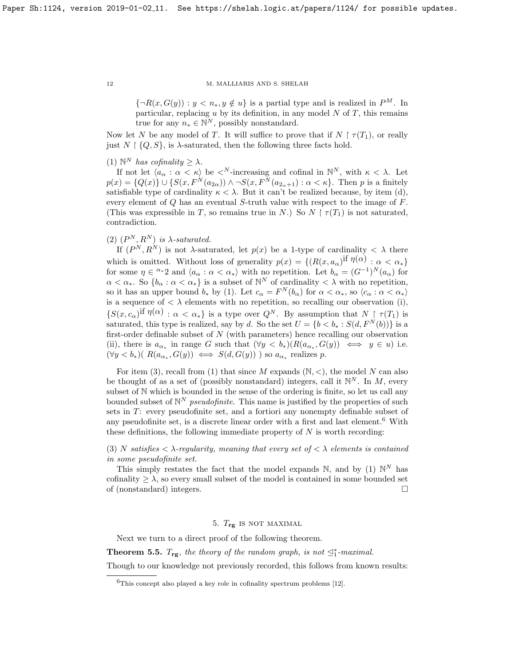${\lbrace \neg R(x, G(y)) : y < n_*, y \notin u \rbrace}$  is a partial type and is realized in  $P^M$ . In particular, replacing  $u$  by its definition, in any model  $N$  of  $T$ , this remains true for any  $n_* \in \mathbb{N}^N$ , possibly nonstandard.

Now let N be any model of T. It will suffice to prove that if  $N \restriction \tau(T_1)$ , or really just  $N \restriction \{Q, S\}$ , is  $\lambda$ -saturated, then the following three facts hold.

(1)  $\mathbb{N}^N$  has cofinality  $\geq \lambda$ .

If not let  $\langle a_{\alpha} : \alpha < \kappa \rangle$  be  $\langle N$ -increasing and cofinal in  $\mathbb{N}^{N}$ , with  $\kappa < \lambda$ . Let  $p(x) = \{Q(x)\}\cup \{S(x, F^N(a_{2\alpha})) \wedge \neg S(x, F^N(a_{2\alpha+1}) : \alpha < \kappa\}.$  Then p is a finitely satisfiable type of cardinality  $\kappa < \lambda$ . But it can't be realized because, by item (d), every element of Q has an eventual S-truth value with respect to the image of F. (This was expressible in T, so remains true in N.) So  $N \upharpoonright \tau(T_1)$  is not saturated, contradiction.

(2)  $(P^N, R^N)$  is  $\lambda$ -saturated.

If  $(P^N, R^N)$  is not  $\lambda$ -saturated, let  $p(x)$  be a 1-type of cardinality  $\langle \lambda \rangle$  there which is omitted. Without loss of generality  $p(x) = \{(R(x, a_{\alpha})^{\text{if }\eta(\alpha) : \alpha < \alpha_*}\}\$ for some  $\eta \in \alpha^*2$  and  $\langle a_\alpha : \alpha < \alpha_* \rangle$  with no repetition. Let  $b_\alpha = (G^{-1})^N(a_\alpha)$  for  $\alpha < \alpha_*$ . So  $\{b_\alpha : \alpha < \alpha_*\}$  is a subset of  $\mathbb{N}^N$  of cardinality  $\langle \lambda \rangle$  with no repetition, so it has an upper bound  $b_*$  by (1). Let  $c_{\alpha} = F^N(b_{\alpha})$  for  $\alpha < \alpha_*,$  so  $\langle c_{\alpha} : \alpha < \alpha_* \rangle$ is a sequence of  $\langle \lambda \rangle$  elements with no repetition, so recalling our observation (i),  $\{S(x,c_{\alpha})^{\text{if } \eta(\alpha) : \alpha < \alpha_*\}$  is a type over  $Q^N$ . By assumption that  $N \restriction \tau(T_1)$  is saturated, this type is realized, say by d. So the set  $U = \{b < b_* : S(d, F^N(b))\}$  is a first-order definable subset of  $N$  (with parameters) hence recalling our observation (ii), there is  $a_{\alpha_*}$  in range G such that  $(\forall y < b_*)(R(a_{\alpha_*}, G(y)) \iff y \in u)$  i.e.  $(\forall y < b_*) ( R(a_{\alpha_*}, G(y)) \iff S(d, G(y)) )$  so  $a_{\alpha_*}$  realizes p.

For item (3), recall from (1) that since M expands  $(N, \leq)$ , the model N can also be thought of as a set of (possibly nonstandard) integers, call it  $\mathbb{N}^N$ . In M, every subset of N which is bounded in the sense of the ordering is finite, so let us call any bounded subset of  $\mathbb{N}^N$  *pseudofinite*. This name is justified by the properties of such sets in T: every pseudofinite set, and a fortiori any nonempty definable subset of any pseudofinite set, is a discrete linear order with a first and last element.[6](#page-11-1) With these definitions, the following immediate property of  $N$  is worth recording:

(3) N satisfies  $\langle \lambda \rangle$ -regularity, meaning that every set of  $\langle \lambda \rangle$  elements is contained in some pseudofinite set.

This simply restates the fact that the model expands  $\mathbb N$ , and by (1)  $\mathbb N^N$  has cofinality  $\geq \lambda$ , so every small subset of the model is contained in some bounded set of (nonstandard) integers.

# 5.  $T_{\text{re}}$  is not maximal

<span id="page-11-0"></span>Next we turn to a direct proof of the following theorem.

<span id="page-11-2"></span>**Theorem 5.5.**  $T_{rg}$ , the theory of the random graph, is not  $\leq_1^*$ -maximal.

Though to our knowledge not previously recorded, this follows from known results:

<span id="page-11-1"></span> ${}^{6}$ This concept also played a key role in cofinality spectrum problems [\[12\]](#page-29-5).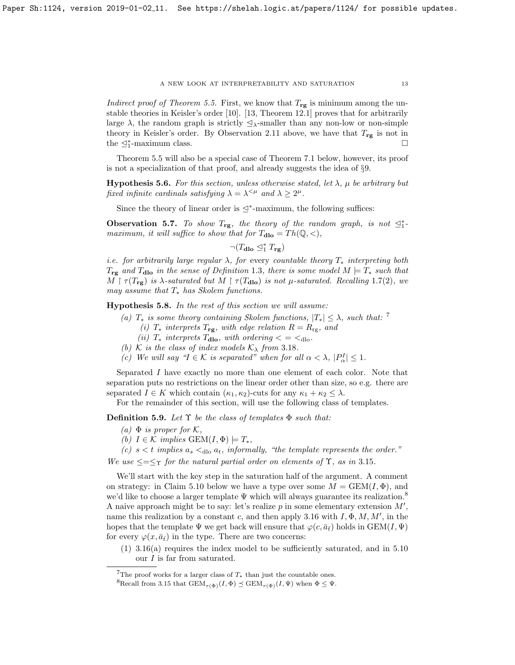Indirect proof of Theorem [5.5.](#page-11-2) First, we know that  $T_{\text{rg}}$  is minimum among the unstable theories in Keisler's order [\[10\]](#page-29-10). [\[13,](#page-29-11) Theorem 12.1] proves that for arbitrarily large  $\lambda$ , the random graph is strictly  $\Delta_{\lambda}$ -smaller than any non-low or non-simple theory in Keisler's order. By Observation 2.[11](#page-3-4) above, we have that  $T_{rg}$  is not in the  $\leq_1^*$ -maximum class.

Theorem [5.5](#page-11-2) will also be a special case of Theorem [7.1](#page-19-1) below, however, its proof is not a specialization of that proof, and already suggests the idea of §[9.](#page-26-0)

<span id="page-12-4"></span>**Hypothesis 5.6.** For this section, unless otherwise stated, let  $\lambda$ ,  $\mu$  be arbitrary but fixed infinite cardinals satisfying  $\lambda = \lambda^{\leq \mu}$  and  $\lambda \geq 2^{\mu}$ .

Since the theory of linear order is  $\leq^*$ -maximum, the following suffices:

<span id="page-12-3"></span>**Observation 5.7.** To show  $T_{rg}$ , the theory of the random graph, is not  $\leq_1^*$ maximum, it will suffice to show that for  $T_{\text{dlo}} = Th(\mathbb{Q}, <),$ 

 $\neg (T_{\textbf{dlo}} \trianglelefteq^*_{1} T_{\textbf{rg}})$ 

i.e. for arbitrarily large regular  $\lambda$ , for every countable theory  $T_*$  interpreting both  $T_{\text{rg}}$  and  $T_{\text{dlo}}$  in the sense of Definition [1](#page-1-2).3, there is some model  $M \models T_*$  such that  $M \upharpoonright \tau(T_{\text{rg}})$  is  $\lambda$ -saturated but  $M \upharpoonright \tau(T_{\text{dlo}})$  is not  $\mu$ -saturated. Recalling 1.[7\(](#page-2-1)2), we may assume that  $T_*$  has Skolem functions.

Hypothesis 5.8. In the rest of this section we will assume:

- (a)  $T_*$  is some theory containing Skolem functions,  $|T_*| \leq \lambda$ , such that: <sup>[7](#page-12-0)</sup> (i)  $T_*$  interprets  $T_{\text{rg}}$ , with edge relation  $R = R_{\text{rg}}$ , and
	- (ii)  $T_*$  interprets  $T_{\text{dlo}}$ , with ordering  $\lt = \lt_{\text{dlo}}$ .
- (b) K is the class of index models  $\mathcal{K}_{\lambda}$  from 3.[18](#page-9-2).
- (c) We will say " $I \in \mathcal{K}$  is separated" when for all  $\alpha < \lambda$ ,  $|P_{\alpha}^{I}| \leq 1$ .

Separated I have exactly no more than one element of each color. Note that separation puts no restrictions on the linear order other than size, so e.g. there are separated  $I \in K$  which contain  $(\kappa_1, \kappa_2)$ -cuts for any  $\kappa_1 + \kappa_2 \leq \lambda$ .

For the remainder of this section, will use the following class of templates.

<span id="page-12-2"></span>**Definition 5.9.** Let  $\Upsilon$  be the class of templates  $\Phi$  such that:

- (a)  $\Phi$  is proper for K,
- (b)  $I \in \mathcal{K}$  implies  $GEM(I, \Phi) \models T_*$ ,
- (c)  $s < t$  implies  $a_s <_{\text{dlo}} a_t$ , informally, "the template represents the order."

We use  $\leq=\leq_T$  for the natural partial order on elements of  $\Upsilon$ , as in 3.[15](#page-8-2).

We'll start with the key step in the saturation half of the argument. A comment on strategy: in Claim [5.10](#page-13-0) below we have a type over some  $M = \text{GEM}(I, \Phi)$ , and we'd like to choose a larger template Ψ which will always guarantee its realization.<sup>[8](#page-12-1)</sup> A naive approach might be to say: let's realize  $p$  in some elementary extension  $M'$ , name this realization by a constant c, and then apply [3.16](#page-8-1) with  $I, \Phi, M, M'$ , in the hopes that the template  $\Psi$  we get back will ensure that  $\varphi(c, \bar{a}_{\bar{t}})$  holds in  $GEM(I, \Psi)$ for every  $\varphi(x, \bar{a}_{\bar{t}})$  in the type. There are two concerns:

(1) [3.16\(](#page-8-1)a) requires the index model to be sufficiently saturated, and in [5.10](#page-13-0) our I is far from saturated.

<span id="page-12-0"></span><sup>&</sup>lt;sup>7</sup>The proof works for a larger class of  $T_*$  than just the countable ones.

<span id="page-12-1"></span><sup>&</sup>lt;sup>8</sup>Recall from [3.15](#page-8-2) that  $GEM_{\tau(\Phi)}(I, \Phi) \preceq GEM_{\tau(\Phi)}(I, \Psi)$  when  $\Phi \leq \Psi$ .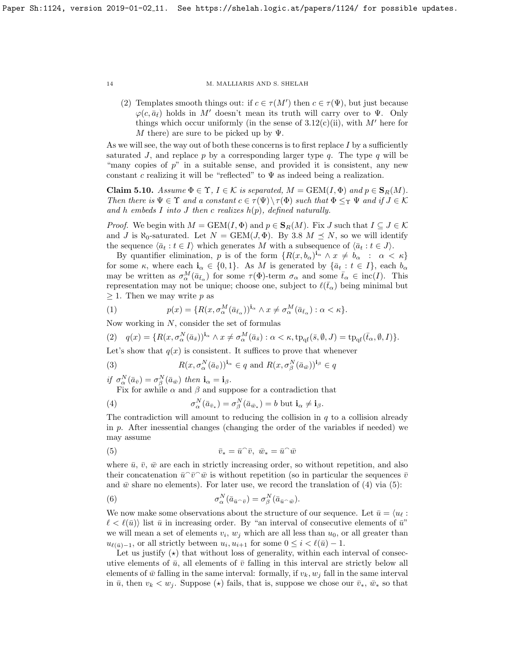(2) Templates smooth things out: if  $c \in \tau(M')$  then  $c \in \tau(\Psi)$ , but just because  $\varphi(c, \bar{a}_{\bar{t}})$  holds in M' doesn't mean its truth will carry over to Ψ. Only things which occur uniformly (in the sense of  $3.12(c)(ii)$ , with M' here for M there) are sure to be picked up by  $\Psi$ .

As we will see, the way out of both these concerns is to first replace  $I$  by a sufficiently saturated J, and replace p by a corresponding larger type  $q$ . The type  $q$  will be "many copies of  $p$ " in a suitable sense, and provided it is consistent, any new constant c realizing it will be "reflected" to  $\Psi$  as indeed being a realization.

<span id="page-13-0"></span>**Claim 5.10.** Assume  $\Phi \in \Upsilon$ ,  $I \in \mathcal{K}$  is separated,  $M = \text{GEM}(I, \Phi)$  and  $p \in \mathbf{S}_R(M)$ . Then there is  $\Psi \in \Upsilon$  and a constant  $c \in \tau(\Psi) \setminus \tau(\Phi)$  such that  $\Phi \leq_{\Upsilon} \Psi$  and if  $J \in \mathcal{K}$ and h embeds I into J then c realizes  $h(p)$ , defined naturally.

*Proof.* We begin with  $M = \text{GEM}(I, \Phi)$  and  $p \in \mathbf{S}_R(M)$ . Fix J such that  $I \subseteq J \in \mathcal{K}$ and J is  $\aleph_0$ -saturated. Let  $N = \text{GEM}(J, \Phi)$ . By [3.8](#page-7-1)  $M \preceq N$ , so we will identify the sequence  $\langle \bar{a}_t : t \in I \rangle$  which generates M with a subsequence of  $\langle \bar{a}_t : t \in J \rangle$ .

By quantifier elimination, p is of the form  $\{R(x,b_\alpha)^{i_\alpha} \wedge x \neq b_\alpha : \alpha < \kappa\}$ for some  $\kappa$ , where each  $\mathbf{i}_{\alpha} \in \{0,1\}$ . As M is generated by  $\{\bar{a}_t : t \in I\}$ , each  $b_{\alpha}$ may be written as  $\sigma_\alpha^M(\bar{a}_{\bar{t}_\alpha})$  for some  $\tau(\Phi)$ -term  $\sigma_\alpha$  and some  $\bar{t}_\alpha \in inc(I)$ . This representation may not be unique; choose one, subject to  $\ell(\bar{t}_{\alpha})$  being minimal but  $\geq$  1. Then we may write p as

(1) 
$$
p(x) = \{R(x, \sigma^M_\alpha(\bar{a}_{\bar{t}_\alpha}))^{\mathbf{i}_\alpha} \wedge x \neq \sigma^M_\alpha(\bar{a}_{\bar{t}_\alpha}) : \alpha < \kappa\}.
$$

Now working in  $N$ , consider the set of formulas

<span id="page-13-4"></span>
$$
(2) \quad q(x) = \{ R(x, \sigma^N_\alpha(\bar{a}_{\bar{s}}))^{\mathbf{i}_\alpha} \wedge x \neq \sigma^M_\alpha(\bar{a}_{\bar{s}}) : \alpha < \kappa, \operatorname{tp}_{\mathrm{qf}}(\bar{s}, \emptyset, J) = \operatorname{tp}_{\mathrm{qf}}(\bar{t}_\alpha, \emptyset, I) \}.
$$

Let's show that  $q(x)$  is consistent. It suffices to prove that whenever

(3) 
$$
R(x, \sigma^N_\alpha(\bar{a}_{\bar{v}}))^{i_\alpha} \in q \text{ and } R(x, \sigma^N_\beta(\bar{a}_{\bar{w}}))^{i_\beta} \in q
$$

if  $\sigma_\alpha^N(\bar{a}_{\bar{v}}) = \sigma_\beta^N(\bar{a}_{\bar{w}})$  then  $\mathbf{i}_\alpha = \mathbf{i}_\beta$ .

<span id="page-13-1"></span>Fix for awhile  $\alpha$  and  $\beta$  and suppose for a contradiction that

(4) 
$$
\sigma^N_\alpha(\bar{a}_{\bar{v}_*}) = \sigma^N_\beta(\bar{a}_{\bar{w}_*}) = b \text{ but } \mathbf{i}_\alpha \neq \mathbf{i}_\beta.
$$

The contradiction will amount to reducing the collision in  $q$  to a collision already in p. After inessential changes (changing the order of the variables if needed) we may assume

<span id="page-13-2"></span>(5) 
$$
\bar{v}_* = \bar{u}^\frown \bar{v}, \ \bar{w}_* = \bar{u}^\frown \bar{w}
$$

where  $\bar{u}, \bar{v}, \bar{w}$  are each in strictly increasing order, so without repetition, and also their concatenation  $\bar{u}^{\frown}\bar{v}^{\frown}\bar{w}$  is without repetition (so in particular the sequences  $\bar{v}$ and  $\bar{w}$  share no elements). For later use, we record the translation of [\(4\)](#page-13-1) via [\(5\)](#page-13-2):

<span id="page-13-3"></span>(6) 
$$
\sigma^N_\alpha(\bar{a}_{\bar{u}^\frown \bar{v}}) = \sigma^N_\beta(\bar{a}_{\bar{u}^\frown \bar{w}}).
$$

We now make some observations about the structure of our sequence. Let  $\bar{u} = \langle u_{\ell} :$  $\ell < \ell(\bar{u})$  list  $\bar{u}$  in increasing order. By "an interval of consecutive elements of  $\bar{u}$ " we will mean a set of elements  $v_i$ ,  $w_j$  which are all less than  $u_0$ , or all greater than  $u_{\ell(\bar{u})-1}$ , or all strictly between  $u_i, u_{i+1}$  for some  $0 \leq i < \ell(\bar{u}) - 1$ .

Let us justify  $(\star)$  that without loss of generality, within each interval of consecutive elements of  $\bar{u}$ , all elements of  $\bar{v}$  falling in this interval are strictly below all elements of  $\bar{w}$  falling in the same interval: formally, if  $v_k$ ,  $w_j$  fall in the same interval in  $\bar{u}$ , then  $v_k < w_j$ . Suppose ( $\star$ ) fails, that is, suppose we chose our  $\bar{v}_*, \bar{w}_*$  so that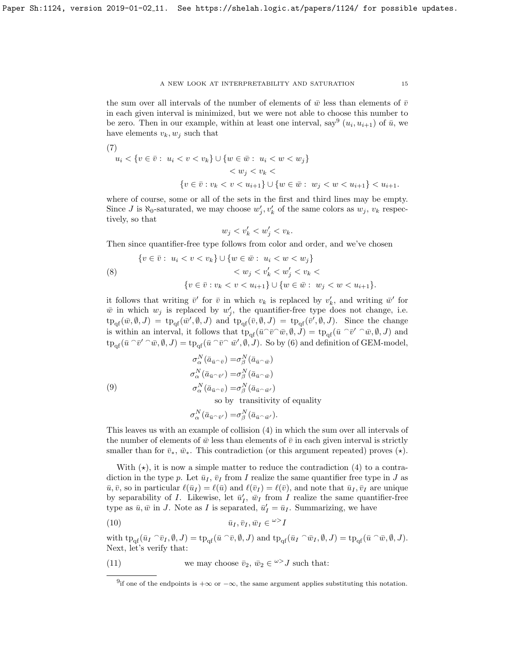the sum over all intervals of the number of elements of  $\bar{w}$  less than elements of  $\bar{v}$ in each given interval is minimized, but we were not able to choose this number to be zero. Then in our example, within at least one interval, say<sup>[9](#page-14-0)</sup>  $(u_i, u_{i+1})$  of  $\bar{u}$ , we have elements  $v_k, w_j$  such that

(7)  
\n
$$
u_i < \{v \in \bar{v} : u_i < v < v_k\} \cup \{w \in \bar{w} : u_i < w < w_j\} \\
&< w_j < v_k < \\
&< \{v \in \bar{v} : v_k < v < u_{i+1}\} \cup \{w \in \bar{w} : w_j < w < u_{i+1}\} < u_{i+1}.
$$

where of course, some or all of the sets in the first and third lines may be empty. Since J is  $\aleph_0$ -saturated, we may choose  $w'_j, v'_k$  of the same colors as  $w_j, v_k$  respectively, so that

$$
w_j < v_k' < w_j' < v_k.
$$

Then since quantifier-free type follows from color and order, and we've chosen

(8) 
$$
\{v \in \bar{v}: u_i < v < v_k\} \cup \{w \in \bar{w}: u_i < w < w_j\} \\ < w_j < v'_k < w'_j < v_k < \\ < v \in \bar{v}: v_k < v < u_{i+1}\} \cup \{w \in \bar{w}: w_j < w < u_{i+1}\}.
$$

it follows that writing  $\bar{v}'$  for  $\bar{v}$  in which  $v_k$  is replaced by  $v'_k$ , and writing  $\bar{w}'$  for  $\bar{w}$  in which  $w_j$  is replaced by  $w'_j$ , the quantifier-free type does not change, i.e.  $tp_{\text{qf}}(\bar{w}, \emptyset, J) = tp_{\text{qf}}(\bar{w}', \emptyset, J)$  and  $tp_{\text{qf}}(\bar{v}, \emptyset, J) = tp_{\text{qf}}(\bar{v}', \emptyset, J)$ . Since the change is within an interval, it follows that  $tp_{qf}(\bar{u} \cap \bar{v} \cap \bar{w}, \emptyset, \bar{J}) = tp_{qf}(\bar{u} \cap \bar{v}' \cap \bar{w}, \emptyset, \bar{J})$  and  $\text{tp}_{\text{qf}}(\bar{u} \cap \bar{v}' \cap \bar{w}, \emptyset, J) = \text{tp}_{\text{qf}}(\bar{u} \cap \bar{v} \cap \bar{w}', \emptyset, J)$ . So by [\(6\)](#page-13-3) and definition of GEM-model,

(9)  
\n
$$
\sigma^N_{\alpha}(\bar{a}_{\bar{u}^{\frown}\bar{v}}) = \sigma^N_{\beta}(\bar{a}_{\bar{u}^{\frown}\bar{w}})
$$
\n
$$
\sigma^N_{\alpha}(\bar{a}_{\bar{u}^{\frown}\bar{v}'}) = \sigma^N_{\beta}(\bar{a}_{\bar{u}^{\frown}\bar{w}})
$$
\n
$$
\sigma^N_{\alpha}(\bar{a}_{\bar{u}^{\frown}\bar{v}}) = \sigma^N_{\beta}(\bar{a}_{\bar{u}^{\frown}\bar{w}'})
$$

so by transitivity of equality

$$
\sigma^N_\alpha(\bar{a}_{\bar{u}^\smallfrown \bar{v}^\prime}) = \sigma^N_\beta(\bar{a}_{\bar{u}^\smallfrown \bar{w}^\prime}).
$$

This leaves us with an example of collision [\(4\)](#page-13-1) in which the sum over all intervals of the number of elements of  $\bar{w}$  less than elements of  $\bar{v}$  in each given interval is strictly smaller than for  $\bar{v}_*, \bar{w}_*$ . This contradiction (or this argument repeated) proves  $(\star)$ .

With  $(\star)$ , it is now a simple matter to reduce the contradiction [\(4\)](#page-13-1) to a contradiction in the type p. Let  $\bar{u}_I$ ,  $\bar{v}_I$  from I realize the same quantifier free type in J as  $\bar{u}, \bar{v}$ , so in particular  $\ell(\bar{u}_I) = \ell(\bar{u})$  and  $\ell(\bar{v}_I) = \ell(\bar{v})$ , and note that  $\bar{u}_I, \bar{v}_I$  are unique by separability of *I*. Likewise, let  $\bar{u}'_I$ ,  $\bar{w}_I$  from *I* realize the same quantifier-free type as  $\bar{u}, \bar{w}$  in J. Note as I is separated,  $\bar{u}'_I = \bar{u}_I$ . Summarizing, we have

$$
\bar{u}_I, \bar{v}_I, \bar{w}_I \in {}^{\omega>}I
$$

with  $tp_{qf}(\bar{u}_I \cap \bar{v}_I, \emptyset, J) = tp_{qf}(\bar{u} \cap \bar{v}, \emptyset, J)$  and  $tp_{qf}(\bar{u}_I \cap \bar{w}_I, \emptyset, J) = tp_{qf}(\bar{u} \cap \bar{w}, \emptyset, J)$ . Next, let's verify that:

(11) we may choose  $\bar{v}_2$ ,  $\bar{w}_2 \in \omega > J$  such that:

<span id="page-14-1"></span><span id="page-14-0"></span><sup>&</sup>lt;sup>9</sup>if one of the endpoints is  $+\infty$  or  $-\infty$ , the same argument applies substituting this notation.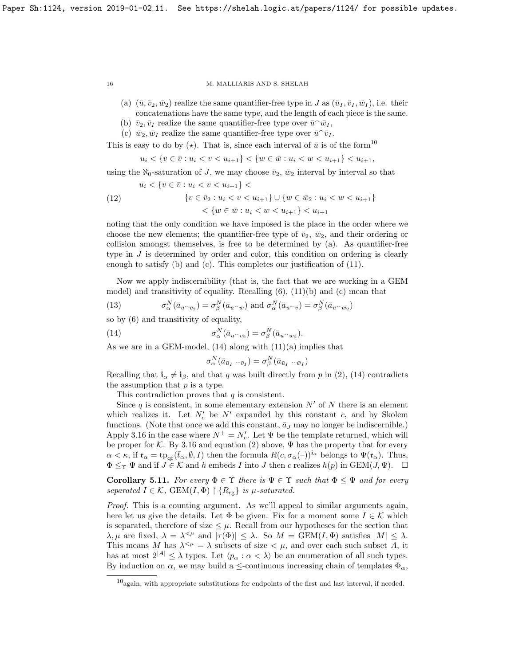- (a)  $(\bar{u}, \bar{v}_2, \bar{w}_2)$  realize the same quantifier-free type in J as  $(\bar{u}_I, \bar{v}_I, \bar{w}_I)$ , i.e. their concatenations have the same type, and the length of each piece is the same.
- (b)  $\bar{v}_2, \bar{v}_I$  realize the same quantifier-free type over  $\bar{u}^{\frown}\bar{w}_I$ ,
- (c)  $\bar{w}_2, \bar{w}_I$  realize the same quantifier-free type over  $\bar{u}^{\frown} \bar{v}_I$ .

This is easy to do by  $(\star)$ . That is, since each interval of  $\bar{u}$  is of the form<sup>[10](#page-15-0)</sup>

$$
u_i < \{ v \in \bar{v} : u_i < v < u_{i+1} \} < \{ w \in \bar{w} : u_i < w < u_{i+1} \} < u_{i+1},
$$

using the  $\aleph_0$ -saturation of J, we may choose  $\bar{v}_2$ ,  $\bar{w}_2$  interval by interval so that

(12) 
$$
u_i < \{v \in \bar{v} : u_i < v < u_{i+1}\} < \\ \{v \in \bar{v}_2 : u_i < v < u_{i+1}\} \cup \{w \in \bar{w}_2 : u_i < w < u_{i+1}\} \\ < \{w \in \bar{w} : u_i < w < u_{i+1}\} < u_{i+1}
$$

noting that the only condition we have imposed is the place in the order where we choose the new elements; the quantifier-free type of  $\bar{v}_2$ ,  $\bar{w}_2$ , and their ordering or collision amongst themselves, is free to be determined by (a). As quantifier-free type in J is determined by order and color, this condition on ordering is clearly enough to satisfy (b) and (c). This completes our justification of [\(11\)](#page-14-1).

Now we apply indiscernibility (that is, the fact that we are working in a GEM model) and transitivity of equality. Recalling [\(6\)](#page-13-3), [\(11\)](#page-14-1)(b) and (c) mean that

(13) 
$$
\sigma^N_\alpha(\bar{a}_{\bar{u}^\frown \bar{v}_2}) = \sigma^N_\beta(\bar{a}_{\bar{u}^\frown \bar{w}}) \text{ and } \sigma^N_\alpha(\bar{a}_{\bar{u}^\frown \bar{v}}) = \sigma^N_\beta(\bar{a}_{\bar{u}^\frown \bar{w}_2})
$$

so by [\(6\)](#page-13-3) and transitivity of equality,

(14) 
$$
\sigma^N_\alpha(\bar{a}_{\bar{u}^\smallfrown \bar{v}_2}) = \sigma^N_\beta(\bar{a}_{\bar{u}^\smallfrown \bar{w}_2}).
$$

As we are in a GEM-model,  $(14)$  along with  $(11)(a)$  $(11)(a)$  implies that

<span id="page-15-1"></span>
$$
\sigma^N_\alpha(\bar{a}_{\bar{u}_I} \circ_{\bar{v}_I}) = \sigma^N_\beta(\bar{a}_{\bar{u}_I} \circ_{\bar{w}_I})
$$

Recalling that  $\mathbf{i}_{\alpha} \neq \mathbf{i}_{\beta}$ , and that q was built directly from p in [\(2\)](#page-13-4), [\(14\)](#page-15-1) contradicts the assumption that  $p$  is a type.

This contradiction proves that  $q$  is consistent.

Since q is consistent, in some elementary extension  $N'$  of N there is an element which realizes it. Let  $N_c$  be  $N'$  expanded by this constant c, and by Skolem functions. (Note that once we add this constant,  $\bar{a}_J$  may no longer be indiscernible.) Apply [3.16](#page-8-1) in the case where  $N^+ = N_c'$ . Let  $\Psi$  be the template returned, which will be proper for K. By [3.16](#page-8-1) and equation [\(2\)](#page-13-4) above,  $\Psi$  has the property that for every  $\alpha < \kappa$ , if  $\mathfrak{r}_{\alpha} = \text{tp}_{\text{of}}(\bar{t}_{\alpha}, \emptyset, I)$  then the formula  $R(c, \sigma_{\alpha}(-))^{\mathbf{i}_{\alpha}}$  belongs to  $\Psi(\mathfrak{r}_{\alpha})$ . Thus,  $\Phi \leq_{\Upsilon} \Psi$  and if  $J \in \mathcal{K}$  and h embeds I into J then c realizes  $h(p)$  in  $GEM(J, \Psi)$ .  $\Box$ 

<span id="page-15-2"></span>Corollary 5.11. For every  $\Phi \in \Upsilon$  there is  $\Psi \in \Upsilon$  such that  $\Phi \leq \Psi$  and for every separated  $I \in \mathcal{K}$ , GEM $(I, \Phi) \restriction \{R_{\text{rg}}\}$  is  $\mu$ -saturated.

Proof. This is a counting argument. As we'll appeal to similar arguments again, here let us give the details. Let  $\Phi$  be given. Fix for a moment some  $I \in \mathcal{K}$  which is separated, therefore of size  $\leq \mu$ . Recall from our hypotheses for the section that  $\lambda, \mu$  are fixed,  $\lambda = \lambda^{\leq \mu}$  and  $|\tau(\Phi)| \leq \lambda$ . So  $M = \text{GEM}(I, \Phi)$  satisfies  $|M| \leq \lambda$ . This means M has  $\lambda^{\leq \mu} = \lambda$  subsets of size  $\lt \mu$ , and over each such subset A, it has at most  $2^{|A|} \leq \lambda$  types. Let  $\langle p_{\alpha} : \alpha \langle \lambda \rangle$  be an enumeration of all such types. By induction on  $\alpha$ , we may build a  $\leq$ -continuous increasing chain of templates  $\Phi_{\alpha}$ ,

<span id="page-15-0"></span> $10_{\text{again}}$ , with appropriate substitutions for endpoints of the first and last interval, if needed.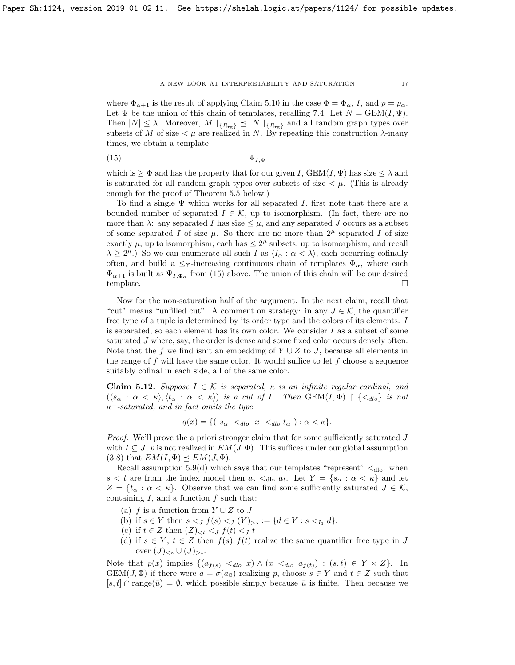where  $\Phi_{\alpha+1}$  is the result of applying Claim [5.10](#page-13-0) in the case  $\Phi = \Phi_{\alpha}$ , I, and  $p = p_{\alpha}$ . Let  $\Psi$  be the union of this chain of templates, recalling [7.4.](#page-19-2) Let  $N = \text{GEM}(I, \Psi)$ . Then  $|N| \leq \lambda$ . Moreover,  $M \upharpoonright_{\{R_{\text{rg}}\}} \preceq N \upharpoonright_{\{R_{\text{rg}}\}}$  and all random graph types over subsets of M of size  $\lt \mu$  are realized in N. By repeating this construction  $\lambda$ -many times, we obtain a template

<span id="page-16-0"></span>
$$
\Psi_{I,\Phi}
$$

which is  $\geq \Phi$  and has the property that for our given I, GEM $(I, \Psi)$  has size  $\leq \lambda$  and is saturated for all random graph types over subsets of size  $\lt \mu$ . (This is already enough for the proof of Theorem [5.5](#page-11-2) below.)

To find a single  $\Psi$  which works for all separated I, first note that there are a bounded number of separated  $I \in \mathcal{K}$ , up to isomorphism. (In fact, there are no more than  $\lambda$ : any separated I has size  $\leq \mu$ , and any separated J occurs as a subset of some separated I of size  $\mu$ . So there are no more than  $2^{\mu}$  separated I of size exactly  $\mu$ , up to isomorphism; each has  $\leq 2^{\mu}$  subsets, up to isomorphism, and recall  $\lambda \geq 2^{\mu}$ .) So we can enumerate all such I as  $\langle I_{\alpha} : \alpha < \lambda \rangle$ , each occurring cofinally often, and build a  $\leq_T$ -increasing continuous chain of templates  $\Phi_{\alpha}$ , where each  $\Phi_{\alpha+1}$  is built as  $\Psi_{I,\Phi_{\alpha}}$  from [\(15\)](#page-16-0) above. The union of this chain will be our desired  $\Box$ template.  $\Box$ 

Now for the non-saturation half of the argument. In the next claim, recall that "cut" means "unfilled cut". A comment on strategy: in any  $J \in \mathcal{K}$ , the quantifier free type of a tuple is determined by its order type and the colors of its elements. I is separated, so each element has its own color. We consider  $I$  as a subset of some saturated J where, say, the order is dense and some fixed color occurs densely often. Note that the f we find isn't an embedding of  $Y \cup Z$  to J, because all elements in the range of f will have the same color. It would suffice to let f choose a sequence suitably cofinal in each side, all of the same color.

<span id="page-16-1"></span>**Claim 5.12.** Suppose  $I \in \mathcal{K}$  is separated,  $\kappa$  is an infinite regular cardinal, and  $(\langle s_\alpha : \alpha < \kappa \rangle, \langle t_\alpha : \alpha < \kappa \rangle)$  is a cut of I. Then  $GEM(I, \Phi) \restriction {\langle <_{dlo} \rbrace}$  is not  $\kappa^+$ -saturated, and in fact omits the type

$$
q(x) = \{ (s_{\alpha} <_{dlo} x <_{dlo} t_{\alpha}) : \alpha < \kappa \}.
$$

Proof. We'll prove the a priori stronger claim that for some sufficiently saturated J with  $I \subseteq J$ , p is not realized in  $EM(J, \Phi)$ . This suffices under our global assumption [\(3.8\)](#page-7-1) that  $EM(I, \Phi) \preceq EM(J, \Phi)$ .

Recall assumption [5.9\(](#page-12-2)d) which says that our templates "represent"  $\langle d_{\text{do}}: \text{ when } d_{\text{do}} \rangle$ "  $s < t$  are from the index model then  $a_s <_{\text{dlo}} a_t$ . Let  $Y = \{s_\alpha : \alpha < \kappa\}$  and let  $Z = \{t_{\alpha} : \alpha < \kappa\}.$  Observe that we can find some sufficiently saturated  $J \in \mathcal{K},$ containing  $I$ , and a function  $f$  such that:

- (a) f is a function from  $Y \cup Z$  to J
- (b) if  $s \in Y$  then  $s <_J f(s) <_J (Y)_{>s} := \{d \in Y : s <_{I_1} d\}.$
- (c) if  $t \in Z$  then  $(Z)_{< t} < J$   $f(t) < J$   $t$
- (d) if  $s \in Y$ ,  $t \in Z$  then  $f(s)$ ,  $f(t)$  realize the same quantifier free type in J over  $(J)_{\leq s} \cup (J)_{\geq t}$ .

Note that  $p(x)$  implies  $\{(a_{f(s)} \leq_{dlo} x) \wedge (x \leq_{dlo} a_{f(t)}) : (s,t) \in Y \times Z\}$ . In  $GEM(J, \Phi)$  if there were  $a = \sigma(\bar{a}_{\bar{u}})$  realizing p, choose  $s \in Y$  and  $t \in Z$  such that  $[s, t] \cap \text{range}(\bar{u}) = \emptyset$ , which possible simply because  $\bar{u}$  is finite. Then because we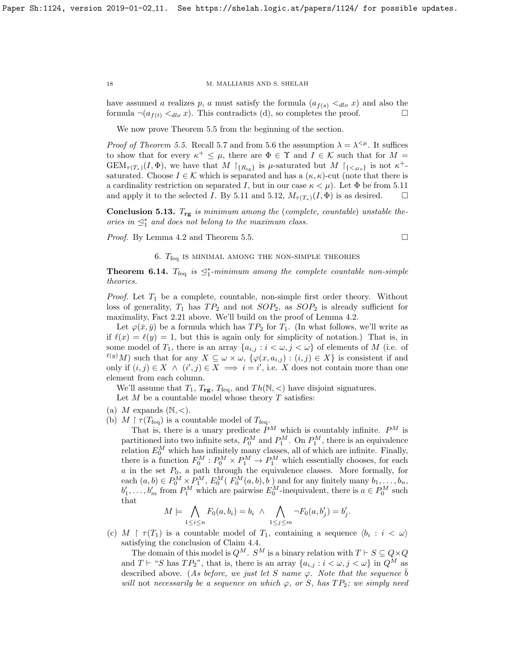have assumed a realizes p, a must satisfy the formula  $(a_{f(s)} \lt_{dlo} x)$  and also the formula  $\neg(a_{f(t)} \leq_{dlo} x)$ . This contradicts (d), so completes the proof.

We now prove Theorem [5.5](#page-11-2) from the beginning of the section.

*Proof of Theorem [5.5.](#page-11-2)* Recall [5.7](#page-12-3) and from [5.6](#page-12-4) the assumption  $\lambda = \lambda^{<\mu}$ . It suffices to show that for every  $\kappa^+ \leq \mu$ , there are  $\Phi \in \Upsilon$  and  $I \in \mathcal{K}$  such that for  $M =$  $GEM_{\tau(T_*)}(I,\Phi)$ , we have that  $M \upharpoonright_{\{R_{\text{rg}}\}}$  is  $\mu$ -saturated but  $M \upharpoonright_{\{\langle \langle \text{d}_l \rangle \}}$  is not  $\kappa^+$ saturated. Choose  $I \in \mathcal{K}$  which is separated and has a  $(\kappa, \kappa)$ -cut (note that there is a cardinality restriction on separated I, but in our case  $\kappa < \mu$ ). Let  $\Phi$  be from [5.11](#page-15-2) and apply it to the selected I. By [5.11](#page-15-2) and [5.12,](#page-16-1)  $M_{\tau(T_*)}(I, \Phi)$  is as desired.  $\square$ 

**Conclusion 5.13.**  $T_{rg}$  is minimum among the (complete, countable) unstable theories in  $\leq^*_1$  and does not belong to the maximum class.

Proof. By Lemma [4.2](#page-9-1) and Theorem [5.5.](#page-11-2)

$$
\qquad \qquad \Box
$$

## 6.  $T_{\text{feq}}$  is minimal among the non-simple theories

<span id="page-17-1"></span><span id="page-17-0"></span>**Theorem 6.14.**  $T_{\text{feq}}$  is  $\leq_1^*$ -minimum among the complete countable non-simple theories.

*Proof.* Let  $T_1$  be a complete, countable, non-simple first order theory. Without loss of generality,  $T_1$  has  $TP_2$  and not  $SOP_2$ , as  $SOP_2$  is already sufficient for maximality, Fact [2.21](#page-6-4) above. We'll build on the proof of Lemma [4.2.](#page-9-1)

Let  $\varphi(\bar{x}, \bar{y})$  be a formula which has  $TP_2$  for  $T_1$ . (In what follows, we'll write as if  $\ell(x) = \ell(y) = 1$ , but this is again only for simplicity of notation.) That is, in some model of  $T_1$ , there is an array  $\{a_{i,j} : i < \omega, j < \omega\}$  of elements of M (i.e. of  $\ell(y)$  Such that for any  $X \subseteq \omega \times \omega$ ,  $\{\varphi(x, a_{i,j}) : (i,j) \in X\}$  is consistent if and only if  $(i, j) \in X \land (i', j) \in X \implies i = i'$ , i.e. X does not contain more than one element from each column.

We'll assume that  $T_1, T_{\text{rg}}, T_{\text{feq}},$  and  $Th(\mathbb{N}, <)$  have disjoint signatures.

Let  $M$  be a countable model whose theory  $T$  satisfies:

- (a) M expands  $(N, <)$ .
- (b)  $M \upharpoonright \tau(T_{\text{feq}})$  is a countable model of  $T_{\text{feq}}$ .

That is, there is a unary predicate  $P^M$  which is countably infinite.  $P^M$  is partitioned into two infinite sets,  $P_0^M$  and  $P_1^M$ . On  $P_1^M$ , there is an equivalence relation  $E_0^M$  which has infinitely many classes, all of which are infinite. Finally, there is a function  $F_0^M : P_0^M \times P_1^M \to P_1^M$  which essentially chooses, for each  $a$  in the set  $P_0$ , a path through the equivalence classes. More formally, for each  $(a, b) \in P_0^M \times P_1^M$ ,  $E_0^M(F_0^M(a, b), b)$  and for any finitely many  $b_1, \ldots, b_n$ ,  $b'_1, \ldots, b'_m$  from  $P_1^M$  which are pairwise  $E_0^M$ -inequivalent, there is  $a \in P_0^M$  such that

$$
M \models \bigwedge_{1 \leq i \leq n} F_0(a, b_i) = b_i \land \bigwedge_{1 \leq j \leq m} \neg F_0(a, b'_j) = b'_j.
$$

(c)  $M \upharpoonright \tau(T_1)$  is a countable model of  $T_1$ , containing a sequence  $\langle b_i : i \langle \omega \rangle$ satisfying the conclusion of Claim [4.4.](#page-10-0)

The domain of this model is  $Q^M$ .  $S^M$  is a binary relation with  $T \vdash S \subseteq Q \times Q$ and  $T \vdash ``S$  has  $TP_2"$ , that is, there is an array  $\{a_{i,j} : i < \omega, j < \omega\}$  in  $Q^M$  as described above. (As before, we just let S name  $\varphi$ . Note that the sequence  $\bar{b}$ will not necessarily be a sequence on which  $\varphi$ , or S, has  $TP_2$ ; we simply need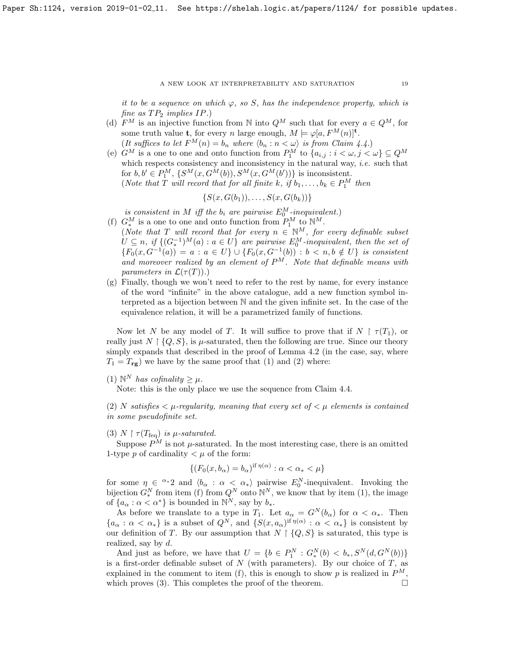it to be a sequence on which  $\varphi$ , so S, has the independence property, which is fine as  $TP_2$  implies  $IP$ .)

(d)  $F^M$  is an injective function from N into  $Q^M$  such that for every  $a \in Q^M$ , for some truth value **t**, for every *n* large enough,  $M \models \varphi[a, F^M(n)]^{\mathbf{t}}$ . (It suffices to let  $F^M(n) = b_n$  where  $\langle b_n : n \langle \omega \rangle$  is from Claim [4.4.](#page-10-0))

(e)  $G^M$  is a one to one and onto function from  $P_1^M$  to  $\{a_{i,j} : i < \omega, j < \omega\} \subseteq Q^M$ which respects consistency and inconsistency in the natural way, *i.e.* such that for  $b, b' \in P_1^M$ ,  $\{S^M(x, G^M(b)), S^M(x, G^M(b'))\}$  is inconsistent. (Note that T will record that for all finite k, if  $b_1, \ldots, b_k \in P_1^M$  then

$$
\{S(x,G(b_1)),\ldots,S(x,G(b_k))\}
$$

is consistent in M iff the  $b_i$  are pairwise  $E_0^M$ -inequivalent.)

- (f)  $G^M_*$  is a one to one and onto function from  $P_1^M$  to  $\mathbb{N}^M$ .
	- (Note that T will record that for every  $n \in \mathbb{N}^M$ , for every definable subset  $U \subseteq n$ , if  $\{(G_*^{-1})^M(a) : a \in U\}$  are pairwise  $E_0^M$ -inequivalent, then the set of  ${F_0(x, G^{-1}(a)) = a : a \in U} \cup {F_0(x, G^{-1}(b)) : b < n, b \notin U}$  is consistent and moreover realized by an element of  $P^M$ . Note that definable means with parameters in  $\mathcal{L}(\tau(T))$ .)
- (g) Finally, though we won't need to refer to the rest by name, for every instance of the word "infinite" in the above catalogue, add a new function symbol interpreted as a bijection between N and the given infinite set. In the case of the equivalence relation, it will be a parametrized family of functions.

Now let N be any model of T. It will suffice to prove that if  $N \restriction \tau(T_1)$ , or really just  $N \upharpoonright \{Q, S\}$ , is  $\mu$ -saturated, then the following are true. Since our theory simply expands that described in the proof of Lemma [4.2](#page-9-1) (in the case, say, where  $T_1 = T_{\text{rg}}$ ) we have by the same proof that (1) and (2) where:

(1)  $\mathbb{N}^N$  has cofinality  $\geq \mu$ .

Note: this is the only place we use the sequence from Claim [4.4.](#page-10-0)

(2) N satisfies  $\lt \mu$ -regularity, meaning that every set of  $\lt \mu$  elements is contained in some pseudofinite set.

# (3)  $N \upharpoonright \tau(T_{\text{feq}})$  is  $\mu$ -saturated.

Suppose  $P^M$  is not  $\mu$ -saturated. In the most interesting case, there is an omitted 1-type p of cardinality  $\lt \mu$  of the form:

$$
\{(F_0(x, b_\alpha) = b_\alpha)^{\text{if } \eta(\alpha)} : \alpha < \alpha_* < \mu\}
$$

for some  $\eta \in \alpha^*2$  and  $\langle b_\alpha : \alpha < \alpha_* \rangle$  pairwise  $E_0^N$ -inequivalent. Invoking the bijection  $G_*^N$  from item (f) from  $Q^N$  onto  $\mathbb{N}^N$ , we know that by item (1), the image of  $\{a_{\alpha} : \alpha < \alpha^*\}$  is bounded in  $\mathbb{N}^N$ , say by  $b_*$ .

As before we translate to a type in  $T_1$ . Let  $a_{\alpha} = G^N(b_{\alpha})$  for  $\alpha < \alpha_*$ . Then  ${a_{\alpha} : \alpha < \alpha_*}$  is a subset of  $Q^N$ , and  ${S(x, a_{\alpha})}^{\text{if } \eta(\alpha)} : \alpha < \alpha_*}$  is consistent by our definition of T. By our assumption that  $N \upharpoonright \{Q, S\}$  is saturated, this type is realized, say by  $d$ .

And just as before, we have that  $U = \{b \in P_1^N : G_*^N(b) < b_*, S^N(d, G^N(b))\}$ is a first-order definable subset of  $N$  (with parameters). By our choice of  $T$ , as explained in the comment to item (f), this is enough to show p is realized in  $P^M$ , which proves (3). This completes the proof of the theorem.  $\Box$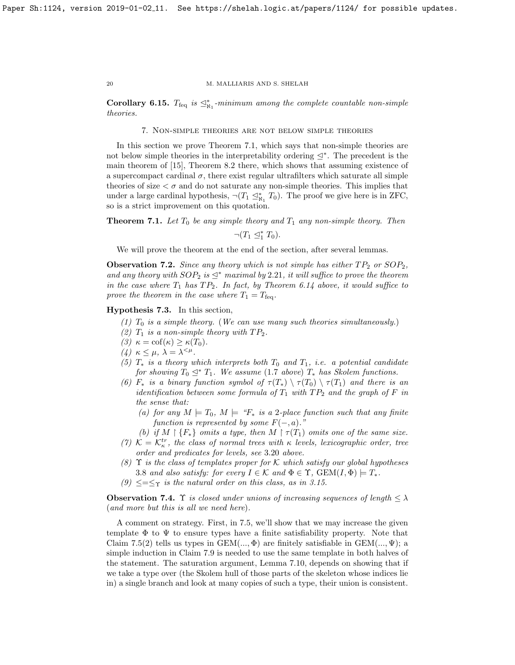Corollary 6.15.  $T_{\text{feq}}$  is  $\leq^*_{\aleph_1}$ -minimum among the complete countable non-simple theories.

7. Non-simple theories are not below simple theories

<span id="page-19-0"></span>In this section we prove Theorem [7.1,](#page-19-1) which says that non-simple theories are not below simple theories in the interpretability ordering  $\leq^*$ . The precedent is the main theorem of [\[15\]](#page-29-3), Theorem 8.2 there, which shows that assuming existence of a supercompact cardinal  $\sigma$ , there exist regular ultrafilters which saturate all simple theories of size  $\lt \sigma$  and do not saturate any non-simple theories. This implies that under a large cardinal hypothesis,  $\neg$  $(T_1 \trianglelefteq^*_{\aleph_1} T_0)$ . The proof we give here is in ZFC, so is a strict improvement on this quotation.

<span id="page-19-1"></span>**Theorem 7.1.** Let  $T_0$  be any simple theory and  $T_1$  any non-simple theory. Then

 $\neg (T_1 \trianglelefteq^*_1 T_0).$ 

We will prove the theorem at the end of the section, after several lemmas.

**Observation 7.2.** Since any theory which is not simple has either  $TP_2$  or  $SOP_2$ , and any theory with  $SOP_2$  is  $\leq^*$  maximal by 2.[21](#page-6-4), it will suffice to prove the theorem in the case where  $T_1$  has  $TP_2$ . In fact, by Theorem [6.14](#page-17-1) above, it would suffice to prove the theorem in the case where  $T_1 = T_{\text{feq}}$ .

<span id="page-19-3"></span>Hypothesis 7.3. In this section,

- (1)  $T_0$  is a simple theory. (We can use many such theories simultaneously.)
- (2)  $T_1$  is a non-simple theory with  $TP_2$ .
- (3)  $\kappa = \text{cof}(\kappa) \geq \kappa(T_0).$
- (4)  $\kappa \leq \mu$ ,  $\lambda = \lambda^{\leq \mu}$ .
- (5)  $T_*$  is a theory which interprets both  $T_0$  and  $T_1$ , i.e. a potential candidate for showing  $T_0 \n\leq^* T_1$ . We assume [\(1](#page-2-1).7 above)  $T_*$  has Skolem functions.
- (6)  $F_*$  is a binary function symbol of  $\tau(T_*) \setminus \tau(T_0) \setminus \tau(T_1)$  and there is an identification between some formula of  $T_1$  with  $TP_2$  and the graph of F in the sense that:
	- (a) for any  $M \models T_0$ ,  $M \models "F_*]$  is a 2-place function such that any finite function is represented by some  $F(-, a)$ ."
	- (b) if  $M \restriction \{F_*\}$  omits a type, then  $M \restriction \tau(T_1)$  omits one of the same size.
- (7)  $K = \mathcal{K}_{\kappa}^{tr}$ , the class of normal trees with  $\kappa$  levels, lexicographic order, tree order and predicates for levels, see 3.[20](#page-9-3) above.
- (8)  $\Upsilon$  is the class of templates proper for K which satisfy our global hypotheses [3](#page-7-1).8 and also satisfy: for every  $I \in \mathcal{K}$  and  $\Phi \in \Upsilon$ ,  $GEM(I, \Phi) \models T_*$ .
- (9)  $\leq=\leq_\Upsilon$  is the natural order on this class, as in [3.15.](#page-8-2)

<span id="page-19-2"></span>**Observation 7.4.**  $\Upsilon$  is closed under unions of increasing sequences of length  $\leq \lambda$ (and more but this is all we need here).

A comment on strategy. First, in [7.5,](#page-20-0) we'll show that we may increase the given template  $\Phi$  to  $\Psi$  to ensure types have a finite satisfiability property. Note that Claim [7.5\(](#page-20-0)2) tells us types in  $GEM(...,\Phi)$  are finitely satisfiable in  $GEM(...,\Psi)$ ; a simple induction in Claim [7.9](#page-22-0) is needed to use the same template in both halves of the statement. The saturation argument, Lemma [7.10,](#page-22-1) depends on showing that if we take a type over (the Skolem hull of those parts of the skeleton whose indices lie in) a single branch and look at many copies of such a type, their union is consistent.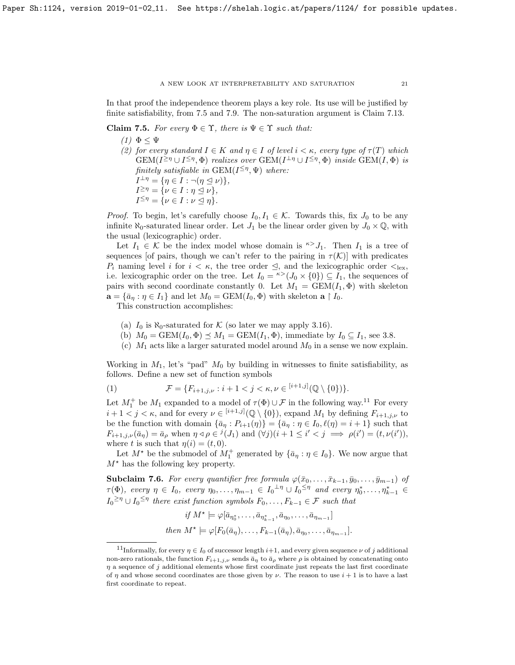In that proof the independence theorem plays a key role. Its use will be justified by finite satisfiability, from [7.5](#page-20-0) and [7.9.](#page-22-0) The non-saturation argument is Claim [7.13.](#page-24-0)

# <span id="page-20-0"></span>Claim 7.5. For every  $\Phi \in \Upsilon$ , there is  $\Psi \in \Upsilon$  such that:

(1)  $\Phi \leq \Psi$ (2) for every standard  $I \in K$  and  $\eta \in I$  of level  $i < \kappa$ , every type of  $\tau(T)$  which  $GEM(I^{\geq \eta} \cup I^{\leq \eta}, \Phi)$  realizes over  $GEM(I^{\perp \eta} \cup I^{\leq \eta}, \Phi)$  inside  $GEM(I, \Phi)$  is finitely satisfiable in  $GEM(I^{\leq \eta}, \Psi)$  where:  $I^{\perp \eta} = \{ \eta \in I : \neg (\eta \trianglelefteq \nu) \},\$  $I^{\geq \eta} = {\nu \in I : \eta \subseteq \nu},$ 

 $I^{\leq \eta} = \{ \nu \in I : \nu \leq \eta \}.$ 

*Proof.* To begin, let's carefully choose  $I_0, I_1 \in \mathcal{K}$ . Towards this, fix  $J_0$  to be any infinite  $\aleph_0$ -saturated linear order. Let  $J_1$  be the linear order given by  $J_0 \times \mathbb{Q}$ , with the usual (lexicographic) order.

Let  $I_1 \in \mathcal{K}$  be the index model whose domain is  $\kappa > J_1$ . Then  $I_1$  is a tree of sequences [of pairs, though we can't refer to the pairing in  $\tau(\mathcal{K})$ ] with predicates  $P_i$  naming level i for  $i < \kappa$ , the tree order  $\leq$ , and the lexicographic order  $\leq_{\text{lex}}$ , i.e. lexicographic order on the tree. Let  $I_0 = \kappa > (J_0 \times \{0\}) \subseteq I_1$ , the sequences of pairs with second coordinate constantly 0. Let  $M_1 = \text{GEM}(I_1, \Phi)$  with skeleton  $\mathbf{a} = {\overline{a}_\eta : \eta \in I_1}$  and let  $M_0 = \text{GEM}(I_0, \Phi)$  with skeleton  $\mathbf{a} \restriction I_0$ .

This construction accomplishes:

- (a)  $I_0$  is  $\aleph_0$ -saturated for K (so later we may apply [3.16\)](#page-8-1).
- (b)  $M_0 = \text{GEM}(I_0, \Phi) \preceq M_1 = \text{GEM}(I_1, \Phi)$ , immediate by  $I_0 \subseteq I_1$ , see [3.8.](#page-7-1)
- (c)  $M_1$  acts like a larger saturated model around  $M_0$  in a sense we now explain.

Working in  $M_1$ , let's "pad"  $M_0$  by building in witnesses to finite satisfiability, as follows. Define a new set of function symbols

(1) 
$$
\mathcal{F} = \{F_{i+1,j,\nu} : i+1 < j < \kappa, \nu \in [i+1,j](\mathbb{Q} \setminus \{0\})\}.
$$

Let  $M_1^+$  be  $M_1$  expanded to a model of  $\tau(\Phi) \cup \mathcal{F}$  in the following way.<sup>[11](#page-20-1)</sup> For every  $i+1 < j < \kappa$ , and for every  $\nu \in {}^{[i+1,j]}(\mathbb{Q} \setminus \{0\})$ , expand  $M_1$  by defining  $F_{i+1,j,\nu}$  to be the function with domain  $\{\bar{a}_\eta : P_{i+1}(\eta)\} = \{\bar{a}_\eta : \eta \in I_0, \ell(\eta) = i + 1\}$  such that  $F_{i+1,j,\nu}(\bar{a}_{\eta}) = \bar{a}_{\rho}$  when  $\eta \triangleleft \rho \in {}^{j}(J_1)$  and  $(\forall j)(i+1 \leq i' < j \implies \rho(i') = (t,\nu(i')),$ where t is such that  $\eta(i) = (t, 0)$ .

Let  $M^*$  be the submodel of  $M_1^+$  generated by  $\{\bar{a}_\eta : \eta \in I_0\}$ . We now argue that  $M^*$  has the following key property.

<span id="page-20-2"></span>Subclaim 7.6. For every quantifier free formula  $\varphi(\bar{x}_0,\ldots,\bar{x}_{k-1},\bar{y}_0,\ldots,\bar{y}_{m-1})$  of  $\tau(\Phi)$ , every  $\eta \in I_0$ , every  $\eta_0, \ldots, \eta_{m-1} \in I_0^{\perp \eta} \cup I_0^{\leq \eta}$  and every  $\eta_0^*, \ldots, \eta_{k-1}^* \in$  $I_0^{\geq \eta} \cup I_0^{\leq \eta}$  there exist function symbols  $F_0, \ldots, F_{k-1} \in \mathcal{F}$  such that

$$
if M^* \models \varphi[\bar{a}_{\eta_0^*}, \dots, \bar{a}_{\eta_{k-1}^*}, \bar{a}_{\eta_0}, \dots, \bar{a}_{\eta_{m-1}}]
$$
  
*then*  $M^* \models \varphi[F_0(\bar{a}_{\eta}), \dots, F_{k-1}(\bar{a}_{\eta}), \bar{a}_{\eta_0}, \dots, \bar{a}_{\eta_{m-1}}].$ 

<span id="page-20-1"></span><sup>&</sup>lt;sup>11</sup>Informally, for every  $\eta \in I_0$  of successor length  $i+1$ , and every given sequence  $\nu$  of j additional non-zero rationals, the function  $F_{i+1,j,\nu}$  sends  $\bar{a}_{\rho}$  to  $\bar{a}_{\rho}$  where  $\rho$  is obtained by concatenating onto  $\eta$  a sequence of j additional elements whose first coordinate just repeats the last first coordinate of  $\eta$  and whose second coordinates are those given by  $\nu$ . The reason to use  $i+1$  is to have a last first coordinate to repeat.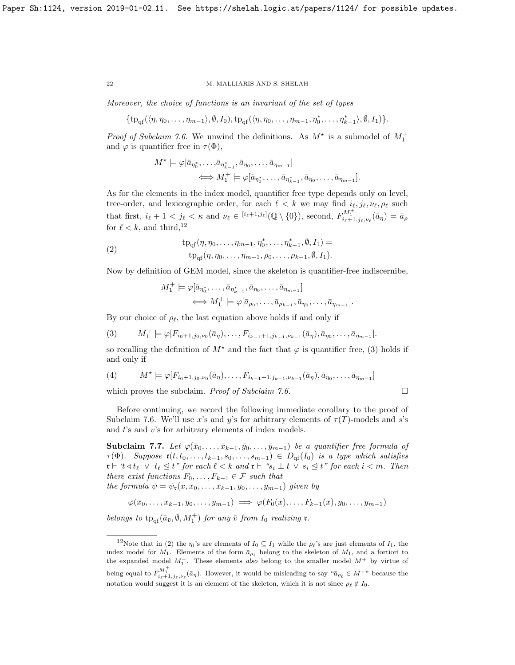Moreover, the choice of functions is an invariant of the set of types

$$
\{\operatorname{tp}_{\mathrm{qf}}(\langle \eta, \eta_0, \ldots, \eta_{m-1} \rangle, \emptyset, I_0), \operatorname{tp}_{\mathrm{qf}}(\langle \eta, \eta_0, \ldots, \eta_{m-1}, \eta_0^*, \ldots, \eta_{k-1}^* \rangle, \emptyset, I_1)\}.
$$

*Proof of Subclaim [7.6.](#page-20-2)* We unwind the definitions. As  $M^*$  is a submodel of  $M_1^+$ and  $\varphi$  is quantifier free in  $\tau(\Phi)$ ,

$$
M^* \models \varphi[\bar{a}_{\eta_0^*}, \dots, \bar{a}_{\eta_{k-1}^*}, \bar{a}_{\eta_0}, \dots, \bar{a}_{\eta_{m-1}}]
$$
  

$$
\iff M_1^+ \models \varphi[\bar{a}_{\eta_0^*}, \dots, \bar{a}_{\eta_{k-1}^*}, \bar{a}_{\eta_0}, \dots, \bar{a}_{\eta_{m-1}}].
$$

As for the elements in the index model, quantifier free type depends only on level, tree-order, and lexicographic order, for each  $\ell < k$  we may find  $i_{\ell}, j_{\ell}, \nu_{\ell}, \rho_{\ell}$  such that first,  $i_{\ell} + 1 < j_{\ell} < \kappa$  and  $\nu_{\ell} \in {^{[i_{\ell}+1,j_{\ell}]}}(\mathbb{Q} \setminus \{0\})$ , second,  $F_{i_{\ell}+1,j_{\ell},\nu_{\ell}}^{M_1^+}(\bar{a}_{\eta}) = \bar{a}_{\rho}$ for  $\ell < k$ , and third,<sup>[12](#page-21-0)</sup>

<span id="page-21-2"></span>(2) 
$$
\begin{aligned} \text{tp}_{\text{qf}}(\eta, \eta_0, \dots, \eta_{m-1}, \eta_0^*, \dots, \eta_{k-1}^*, \emptyset, I_1) &= \\ \text{tp}_{\text{qf}}(\eta, \eta_0, \dots, \eta_{m-1}, \rho_0, \dots, \rho_{k-1}, \emptyset, I_1). \end{aligned}
$$

Now by definition of GEM model, since the skeleton is quantifier-free indiscernibe,

$$
M_1^+ \models \varphi[\bar{a}_{\eta_0^*}, \dots, \bar{a}_{\eta_{k-1}^*}, \bar{a}_{\eta_0}, \dots, \bar{a}_{\eta_{m-1}}] \iff M_1^+ \models \varphi[\bar{a}_{\rho_0}, \dots, \bar{a}_{\rho_{k-1}}, \bar{a}_{\eta_0}, \dots, \bar{a}_{\eta_{m-1}}].
$$

By our choice of  $\rho_{\ell}$ , the last equation above holds if and only if

<span id="page-21-1"></span>
$$
(3) \tM_1^+ \models \varphi[F_{i_0+1,j_0,\nu_0}(\bar{a}_{\eta}),\ldots,F_{i_{k-1}+1,j_{k-1},\nu_{k-1}}(\bar{a}_{\eta}),\bar{a}_{\eta_0},\ldots,\bar{a}_{\eta_{m-1}}].
$$

so recalling the definition of  $M^*$  and the fact that  $\varphi$  is quantifier free, [\(3\)](#page-21-1) holds if and only if

(4) 
$$
M^* \models \varphi[F_{i_0+1,j_0,\nu_0}(\bar{a}_{\eta}),\ldots,F_{i_{k-1}+1,j_{k-1},\nu_{k-1}}(\bar{a}_{\eta}),\bar{a}_{\eta_0},\ldots,\bar{a}_{\eta_{m-1}}]
$$
 which proves the subclaim. *Proof of Subclaim* 7.6.

Before continuing, we record the following immediate corollary to the proof of Subclaim [7.6.](#page-20-2) We'll use x's and y's for arbitrary elements of  $\tau(T)$ -models and s's and  $t$ 's and  $v$ 's for arbitrary elements of index models.

<span id="page-21-3"></span>**Subclaim 7.7.** Let  $\varphi(\bar{x}_0,\ldots,\bar{x}_{k-1},\bar{y}_0,\ldots,\bar{y}_{m-1})$  be a quantifier free formula of  $\tau(\Phi)$ . Suppose  $\mathfrak{r}(t, t_0, \ldots, t_{k-1}, s_0, \ldots, s_{m-1}) \in D_{\mathrm{qf}}(I_0)$  is a type which satisfies  $\mathfrak{r} \vdash \mathfrak{t} \triangleleft t_{\ell} \ \lor \ t_{\ell} \trianglelefteq t$ " for each  $\ell < k$  and  $\mathfrak{r} \vdash "s_i \perp t \ \lor \ s_i \trianglelefteq t"$  for each  $i < m$ . Then there exist functions  $F_0, \ldots, F_{k-1} \in \mathcal{F}$  such that the formula  $\psi = \psi_{\mathfrak{r}}(x, x_0, \ldots, x_{k-1}, y_0, \ldots, y_{m-1})$  given by

$$
\varphi(x_0,\ldots,x_{k-1},y_0,\ldots,y_{m-1}) \implies \varphi(F_0(x),\ldots,F_{k-1}(x),y_0,\ldots,y_{m-1})
$$

belongs to  $tp_{qf}(\bar{a}_{\bar{v}}, \emptyset, M_1^+)$  for any  $\bar{v}$  from  $I_0$  realizing  $\mathfrak{r}$ .

<span id="page-21-0"></span><sup>&</sup>lt;sup>12</sup>Note that in [\(2\)](#page-21-2) the  $\eta_i$ 's are elements of  $I_0 \subseteq I_1$  while the  $\rho_\ell$ 's are just elements of  $I_1$ , the index model for  $M_1$ . Elements of the form  $\bar{a}_{\rho_\ell}$  belong to the skeleton of  $M_1$ , and a fortiori to the expanded model  $M_1^+$ . These elements also belong to the smaller model  $M^+$  by virtue of being equal to  $F^{M_1^+}_{i_\ell+1,j_\ell,\nu_\ell}(\bar{a}_\eta)$ . However, it would be misleading to say " $\bar{a}_{\rho_\ell} \in M^{+\nu}$  because the notation would suggest it is an element of the skeleton, which it is not since  $\rho_{\ell} \notin I_0$ .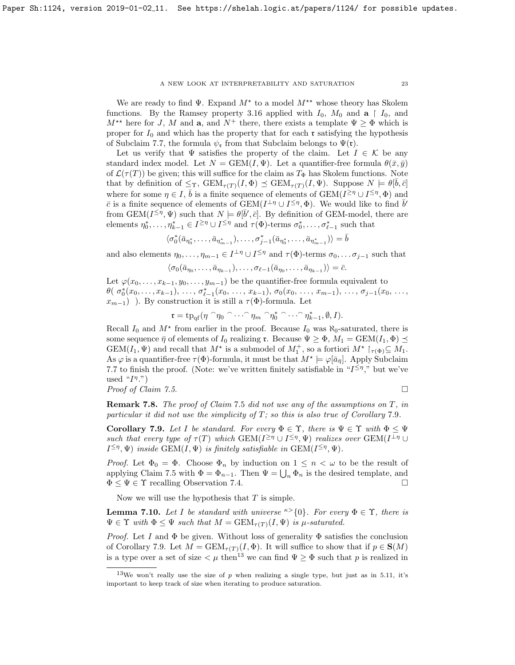We are ready to find  $\Psi$ . Expand  $M^*$  to a model  $M^{**}$  whose theory has Skolem functions. By the Ramsey property [3.16](#page-8-1) applied with  $I_0$ ,  $M_0$  and  $a \restriction I_0$ , and  $M^{\star\star}$  here for J, M and **a**, and  $N^+$  there, there exists a template  $\Psi \geq \Phi$  which is proper for  $I_0$  and which has the property that for each  $\mathfrak r$  satisfying the hypothesis of Subclaim [7.7,](#page-21-3) the formula  $\psi_{\mathfrak{r}}$  from that Subclaim belongs to  $\Psi(\mathfrak{r})$ .

Let us verify that  $\Psi$  satisfies the property of the claim. Let  $I \in \mathcal{K}$  be any standard index model. Let  $N = \text{GEM}(I, \Psi)$ . Let a quantifier-free formula  $\theta(\bar{x}, \bar{y})$ of  $\mathcal{L}(\tau(T))$  be given; this will suffice for the claim as  $T_{\Phi}$  has Skolem functions. Note that by definition of  $\leq_T$ ,  $GEM_{\tau(T)}(I, \Phi) \preceq \text{GEM}_{\tau(T)}(I, \Psi)$ . Suppose  $N \models \theta[\bar{b}, \bar{c}]$ where for some  $\eta \in I$ ,  $\bar{b}$  is a finite sequence of elements of  $GEM(I^{\geq \eta} \cup I^{\leq \eta}, \Phi)$  and  $\bar{c}$  is a finite sequence of elements of  $\overline{\text{GEM}}(I^{\perp \eta} \cup I^{\leq \eta}, \Phi)$ . We would like to find  $\bar{b}'$ from GEM( $I^{\leq \eta}, \Psi$ ) such that  $N \models \theta[\bar{b}', \bar{c}]$ . By definition of GEM-model, there are elements  $\eta_0^*, \ldots, \eta_{k-1}^* \in I^{\geq \eta} \cup I^{\leq \eta}$  and  $\tau(\Phi)$ -terms  $\sigma_0^*, \ldots, \sigma_{\ell-1}^*$  such that

$$
\langle \sigma_0^*(\bar{a}_{\eta_0^*},\ldots,\bar{a}_{\eta_{m-1}^*}),\ldots,\sigma_{j-1}^*(\bar{a}_{\eta_0^*},\ldots,\bar{a}_{\eta_{m-1}^*})\rangle=\bar{b}
$$

and also elements  $\eta_0, \ldots, \eta_{m-1} \in I^{\perp \eta} \cup I^{\leq \eta}$  and  $\tau(\Phi)$ -terms  $\sigma_0, \ldots, \sigma_{j-1}$  such that

$$
\langle \sigma_0(\bar{a}_{\eta_0},\ldots,\bar{a}_{\eta_{k-1}}),\ldots,\sigma_{\ell-1}(\bar{a}_{\eta_0},\ldots,\bar{a}_{\eta_{k-1}})\rangle=\bar{c}.
$$

Let  $\varphi(x_0,\ldots,x_{k-1},y_0,\ldots,y_{m-1})$  be the quantifier-free formula equivalent to  $\theta({\sigma_0^*(x_0,\ldots,x_{k-1}),\ldots,\sigma_{\ell-1}^*(x_0,\ldots,x_{k-1}),\sigma_0(x_0,\ldots,x_{m-1}),\ldots,\sigma_{j-1}(x_0,\ldots,\sigma_{j-1}(x_{j-1}),\ldots,\sigma_{j-1}(x_{j-1},\ldots,x_{j-1})})$  $x_{m-1}$ ) ). By construction it is still a  $\tau(\Phi)$ -formula. Let

$$
\mathfrak{r}=\operatorname{tp}_{\mathrm{qf}}(\eta\cap\eta_0\cap\cdots\cap\eta_m\cap\eta_0^*\cap\cdots\cap\eta_{k-1}^*,\emptyset,I).
$$

Recall  $I_0$  and  $M^*$  from earlier in the proof. Because  $I_0$  was  $\aleph_0$ -saturated, there is some sequence  $\bar{\eta}$  of elements of  $I_0$  realizing r. Because  $\Psi \geq \Phi$ ,  $M_1 = \text{GEM}(I_1, \Phi) \preceq$  $GEM(I_1, \Psi)$  and recall that  $M^*$  is a submodel of  $M_1^+$ , so a fortiori  $M^* \upharpoonright_{\tau(\Phi)} \subseteq M_1$ . As  $\varphi$  is a quantifier-free  $\tau(\Phi)$ -formula, it must be that  $M^* \models \varphi[\bar{a}_{\bar{\eta}}]$ . Apply Subclaim [7.7](#page-21-3) to finish the proof. (Note: we've written finitely satisfiable in " $I^{\leq \eta}$ ," but we've used " $I^{\eta}$ .")

Proof of Claim [7.5](#page-20-0).

$$
\Box
$$

**Remark [7](#page-20-0).8.** The proof of Claim 7.5 did not use any of the assumptions on T, in particular it did not use the simplicity of  $T$ ; so this is also true of Corollary [7](#page-22-0).9.

<span id="page-22-0"></span>Corollary 7.9. Let I be standard. For every  $\Phi \in \Upsilon$ , there is  $\Psi \in \Upsilon$  with  $\Phi \leq \Psi$ such that every type of  $\tau(T)$  which  $GEM(I^{\geq \eta} \cup I^{\leq \eta}, \Psi)$  realizes over  $GEM(I^{\perp \eta} \cup I^{\leq \eta}, \Psi)$  $I^{\leq \eta}, \Psi$  inside GEM $(I, \Psi)$  is finitely satisfiable in GEM $(I^{\leq \eta}, \Psi)$ .

*Proof.* Let  $\Phi_0 = \Phi$ . Choose  $\Phi_n$  by induction on  $1 \leq n < \omega$  to be the result of applying Claim [7.5](#page-20-0) with  $\Phi = \Phi_{n-1}$ . Then  $\Psi = \bigcup_n \Phi_n$  is the desired template, and  $\Phi \leq \Psi \in \Upsilon$  recalling Observation [7.4.](#page-19-2)

Now we will use the hypothesis that  $T$  is simple.

<span id="page-22-1"></span>**Lemma 7.10.** Let I be standard with universe  $\kappa > \{0\}$ . For every  $\Phi \in \Upsilon$ , there is  $\Psi \in \Upsilon$  with  $\Phi \leq \Psi$  such that  $M = \text{GEM}_{\tau(T)}(I, \Psi)$  is  $\mu$ -saturated.

*Proof.* Let I and  $\Phi$  be given. Without loss of generality  $\Phi$  satisfies the conclusion of Corollary [7.9.](#page-22-0) Let  $M = \text{GEM}_{\tau(T)}(I, \Phi)$ . It will suffice to show that if  $p \in \mathbf{S}(M)$ is a type over a set of size  $\lt \mu$  then<sup>[13](#page-22-2)</sup> we can find  $\Psi \geq \Phi$  such that p is realized in

<span id="page-22-2"></span><sup>&</sup>lt;sup>13</sup>We won't really use the size of p when realizing a single type, but just as in [5.11,](#page-15-2) it's important to keep track of size when iterating to produce saturation.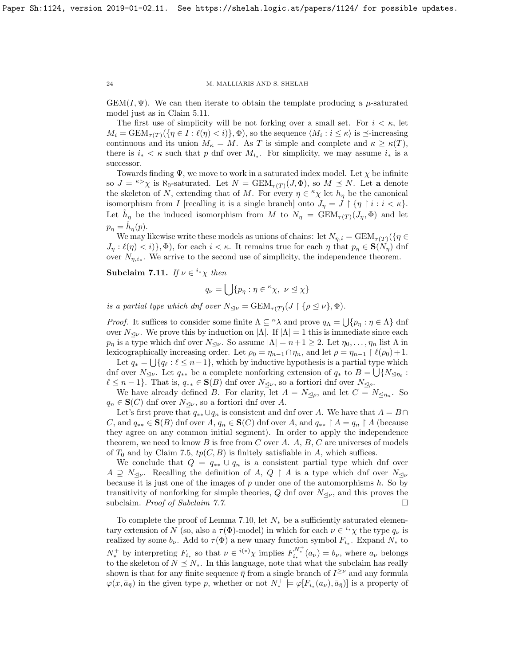$GEM(I, \Psi)$ . We can then iterate to obtain the template producing a  $\mu$ -saturated model just as in Claim [5.11.](#page-15-2)

The first use of simplicity will be not forking over a small set. For  $i < \kappa$ , let  $M_i = \text{GEM}_{\tau(T)}(\{\eta \in I : \ell(\eta) < i\}, \Phi)$ , so the sequence  $\langle M_i : i \leq \kappa \rangle$  is  $\preceq$ -increasing continuous and its union  $M_{\kappa} = M$ . As T is simple and complete and  $\kappa \geq \kappa(T)$ , there is  $i_* < \kappa$  such that p dnf over  $M_{i_*}$ . For simplicity, we may assume  $i_*$  is a successor.

Towards finding  $\Psi$ , we move to work in a saturated index model. Let  $\chi$  be infinite so  $J = \kappa > \chi$  is  $\aleph_0$ -saturated. Let  $N = \text{GEM}_{\tau(T)}(J, \Phi)$ , so  $M \preceq N$ . Let a denote the skeleton of N, extending that of M. For every  $\eta \in \kappa_{\chi}$  let  $h_{\eta}$  be the canonical isomorphism from *I* [recalling it is a single branch] onto  $J_{\eta} = J \upharpoonright {\eta \upharpoonright i : i < \kappa}.$ Let  $\hat{h}_{\eta}$  be the induced isomorphism from M to  $N_{\eta} = \text{GEM}_{\tau(T)}(J_{\eta}, \Phi)$  and let  $p_{\eta} = \hat{h}_{\eta}(p).$ 

We may likewise write these models as unions of chains: let  $N_{\eta,i} = \text{GEM}_{\tau(T)}(\{\eta \in$  $J_{\eta}: \ell(\eta) < i$ ,  $\Phi$ , for each  $i < \kappa$ . It remains true for each  $\eta$  that  $p_{\eta} \in S(N_{\eta})$  dnf over  $N_{\eta,i_*}$ . We arrive to the second use of simplicity, the independence theorem.

Subclaim 7.11. If  $\nu \in i^* \chi$  then

$$
q_{\nu} = \bigcup \{ p_{\eta} : \eta \in {}^{\kappa} \chi, \ \nu \leq \chi \}
$$

is a partial type which dnf over  $N_{\lhd \nu} = \text{GEM}_{\tau(T)}(J \restriction {\rho \leq \nu}, \Phi)$ .

*Proof.* It suffices to consider some finite  $\Lambda \subseteq \Lambda$  and prove  $q_{\Lambda} = \bigcup \{p_{\eta} : \eta \in \Lambda\}$  dnf over  $N_{\leq \nu}$ . We prove this by induction on  $|\Lambda|$ . If  $|\Lambda| = 1$  this is immediate since each  $p_n$  is a type which dnf over  $N_{\leq \nu}$ . So assume  $|\Lambda| = n + 1 \geq 2$ . Let  $\eta_0, \ldots, \eta_n$  list  $\Lambda$  in lexicographically increasing order. Let  $\rho_0 = \eta_{n-1} \cap \eta_n$ , and let  $\rho = \eta_{n-1} \restriction \ell(\rho_0) + 1$ .

Let  $q_* = \bigcup \{ q_\ell : \ell \leq n-1 \}$ , which by inductive hypothesis is a partial type which dnf over  $N_{\leq \nu}$ . Let  $q_{**}$  be a complete nonforking extension of  $q_*$  to  $B = \bigcup \{N_{\leq \eta_\ell}$ :  $\ell \leq n - 1$ . That is,  $q_{**} \in \mathbf{S}(B)$  dnf over  $N_{\leq \nu}$ , so a fortiori dnf over  $N_{\leq \rho}$ .

We have already defined B. For clarity, let  $A = N_{\leq \rho}$ , and let  $C = N_{\leq \eta_n}$ . So  $q_n \in \mathbf{S}(C)$  dnf over  $N_{\leq \nu}$ , so a fortiori dnf over A.

Let's first prove that  $q_{**} \cup q_n$  is consistent and dnf over A. We have that  $A = B \cap$ C, and  $q_{**} \in \mathbf{S}(B)$  dnf over  $A, q_n \in \mathbf{S}(C)$  dnf over  $A$ , and  $q_{**} \upharpoonright A = q_n \upharpoonright A$  (because they agree on any common initial segment). In order to apply the independence theorem, we need to know  $B$  is free from  $C$  over  $A$ .  $A$ ,  $B$ ,  $C$  are universes of models of  $T_0$  and by Claim [7.5,](#page-20-0)  $tp(C, B)$  is finitely satisfiable in A, which suffices.

We conclude that  $Q = q_{**} \cup q_n$  is a consistent partial type which dnf over  $A \supseteq N_{\leq \nu}$ . Recalling the definition of A,  $Q \upharpoonright A$  is a type which dnf over  $N_{\leq \nu}$ because it is just one of the images of  $p$  under one of the automorphisms  $h$ . So by transitivity of nonforking for simple theories, Q dnf over  $N_{\leq \nu}$ , and this proves the subclaim. *Proof of Subclaim [7.7](#page-21-3).*  $\square$ 

To complete the proof of Lemma [7.10,](#page-22-1) let  $N_*$  be a sufficiently saturated elementary extension of N (so, also a  $\tau(\Phi)$ -model) in which for each  $\nu \in {}^{i*}\chi$  the type  $q_{\nu}$  is realized by some  $b_{\nu}$ . Add to  $\tau(\Phi)$  a new unary function symbol  $F_{i_*}$ . Expand  $N_*$  to  $N_*^+$  by interpreting  $F_{i_*}$  so that  $\nu \in i^{(*)}\chi$  implies  $F_{i_*}^{N_*^+}(a_\nu) = b_\nu$ , where  $a_\nu$  belongs to the skeleton of  $N \leq N_*$ . In this language, note that what the subclaim has really shown is that for any finite sequence  $\bar{\eta}$  from a single branch of  $I^{\geq \nu}$  and any formula  $\varphi(x,\bar{a}_{\bar{\eta}})$  in the given type p, whether or not  $N_*^+ \models \varphi[F_{i_*}(a_{\nu}),\bar{a}_{\bar{\eta}}]$  is a property of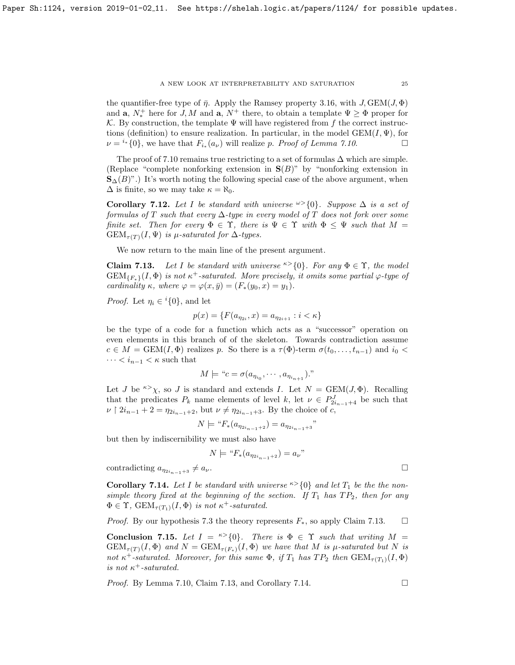the quantifier-free type of  $\bar{\eta}$ . Apply the Ramsey property [3.16,](#page-8-1) with J, GEM(J,  $\Phi$ ) and **a**,  $N_*^+$  here for J, M and **a**,  $N^+$  there, to obtain a template  $\Psi \geq \Phi$  proper for K. By construction, the template  $\Psi$  will have registered from f the correct instructions (definition) to ensure realization. In particular, in the model  $GEM(I, \Psi)$ , for  $\nu = i$ <sup>\*</sup>{0}, we have that  $F_{i*}(a_{\nu})$  will realize p. Proof of Lemma [7.10](#page-22-1).

The proof of [7.10](#page-22-1) remains true restricting to a set of formulas  $\Delta$  which are simple. (Replace "complete nonforking extension in  $S(B)$ " by "nonforking extension in  $\mathbf{S}_{\Delta}(B)$ ".) It's worth noting the following special case of the above argument, when  $\Delta$  is finite, so we may take  $\kappa = \aleph_0$ .

Corollary 7.12. Let I be standard with universe  $\infty$ {0}. Suppose  $\Delta$  is a set of formulas of T such that every  $\Delta$ -type in every model of T does not fork over some finite set. Then for every  $\Phi \in \Upsilon$ , there is  $\Psi \in \Upsilon$  with  $\Phi \leq \Psi$  such that  $M =$  $GEM_{\tau(T)}(I, \Psi)$  is  $\mu$ -saturated for  $\Delta$ -types.

We now return to the main line of the present argument.

<span id="page-24-0"></span>**Claim 7.13.** Let I be standard with universe  $\infty$ {0}. For any  $\Phi \in \Upsilon$ , the model  $GEM_{\{F_*\}}(I, \Phi)$  is not  $\kappa^+$ -saturated. More precisely, it omits some partial  $\varphi$ -type of cardinality κ, where  $\varphi = \varphi(x, \bar{y}) = (F_*(y_0, x) = y_1).$ 

*Proof.* Let  $\eta_i \in {}^{i}{0}$ , and let

$$
p(x) = \{ F(a_{\eta_{2i}}, x) = a_{\eta_{2i+1}} : i < \kappa \}
$$

be the type of a code for a function which acts as a "successor" operation on even elements in this branch of of the skeleton. Towards contradiction assume  $c \in M = \text{GEM}(I, \Phi)$  realizes p. So there is a  $\tau(\Phi)$ -term  $\sigma(t_0, \ldots, t_{n-1})$  and  $i_0 <$  $\cdots < i_{n-1} < \kappa$  such that

$$
M \models "c = \sigma(a_{\eta_{i_0}}, \cdots, a_{\eta_{i_{n+1}}})."
$$

Let J be <sup> $\kappa$ </sup> $\chi$ , so J is standard and extends I. Let  $N = \text{GEM}(J, \Phi)$ . Recalling that the predicates  $P_k$  name elements of level k, let  $\nu \in P_{2i_{n-1}+4}^J$  be such that  $\nu \restriction 2i_{n-1} + 2 = \eta_{2i_{n-1}+2}$ , but  $\nu \neq \eta_{2i_{n-1}+3}$ . By the choice of c,

$$
N \models "F_*(a_{\eta_{2i_{n-1}+2}}) = a_{\eta_{2i_{n-1}+3}}"
$$

but then by indiscernibility we must also have

$$
N \models ``F_*(a_{\eta_{2i_{n-1}+2}}) = a_{\nu}"
$$

contradicting  $a_{\eta_{2i_{n-1}+3}} \neq a_{\nu}$ .

<span id="page-24-1"></span>**Corollary 7.14.** Let I be standard with universe  $\kappa > \{0\}$  and let  $T_1$  be the nonsimple theory fixed at the beginning of the section. If  $T_1$  has  $TP_2$ , then for any  $\Phi \in \Upsilon$ ,  $GEM_{\tau(T_1)}(I, \Phi)$  is not  $\kappa^+$ -saturated.

*Proof.* By our hypothesis [7.3](#page-19-3) the theory represents  $F_*$ , so apply Claim [7.13.](#page-24-0)  $\Box$ 

<span id="page-24-2"></span>Conclusion 7.15. Let  $I = \kappa > \{0\}$ . There is  $\Phi \in \Upsilon$  such that writing  $M =$  $GEM_{\tau(T)}(I, \Phi)$  and  $N = GEM_{\tau(F_*)}(I, \Phi)$  we have that M is  $\mu$ -saturated but N is not  $\kappa^+$ -saturated. Moreover, for this same  $\Phi$ , if  $T_1$  has  $TP_2$  then  $GEM_{\tau(T_1)}(I, \Phi)$ is not  $\kappa^+$ -saturated.

*Proof.* By Lemma [7.10,](#page-22-1) Claim [7.13,](#page-24-0) and Corollary [7.14.](#page-24-1)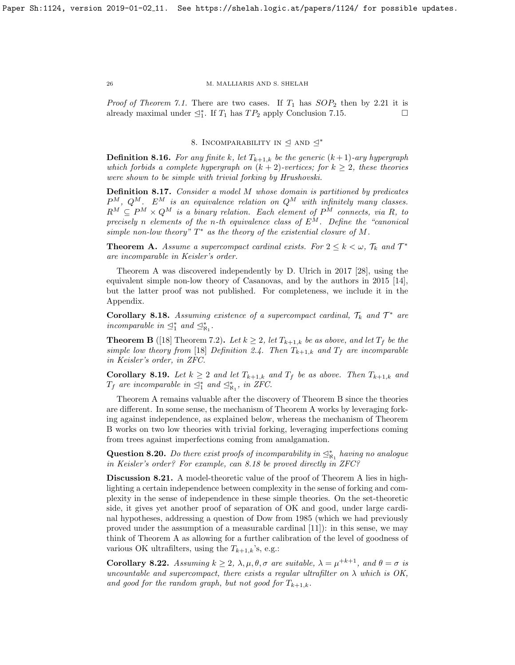*Proof of Theorem [7.1.](#page-19-1)* There are two cases. If  $T_1$  has  $SOP_2$  then by [2.21](#page-6-4) it is already maximal under  $\trianglelefteq_1^*$ . If  $T_1$  has  $TP_2$  apply Conclusion [7.15.](#page-24-2)

# 8. INCOMPARABILITY IN  $\triangleleft$  and  $\triangleleft$ <sup>\*</sup>

<span id="page-25-0"></span>**Definition 8.16.** For any finite k, let  $T_{k+1,k}$  be the generic  $(k+1)$ -ary hypergraph which forbids a complete hypergraph on  $(k + 2)$ -vertices; for  $k \geq 2$ , these theories were shown to be simple with trivial forking by Hrushovski.

Definition 8.17. Consider a model M whose domain is partitioned by predicates  $P^M$ ,  $Q^M$ .  $E^M$  is an equivalence relation on  $Q^M$  with infinitely many classes.  $R^M \subseteq P^M \times Q^M$  is a binary relation. Each element of  $P^M$  connects, via R, to precisely n elements of the n-th equivalence class of  $E^M$ . Define the "canonical simple non-low theory"  $T^*$  as the theory of the existential closure of M.

**Theorem A.** Assume a supercompact cardinal exists. For  $2 \leq k < \omega$ ,  $\mathcal{T}_k$  and  $\mathcal{T}^*$ are incomparable in Keisler's order.

Theorem A was discovered independently by D. Ulrich in 2017 [\[28\]](#page-30-9), using the equivalent simple non-low theory of Casanovas, and by the authors in 2015 [\[14\]](#page-29-12), but the latter proof was not published. For completeness, we include it in the Appendix.

<span id="page-25-1"></span>Corollary 8.18. Assuming existence of a supercompact cardinal,  $\mathcal{T}_k$  and  $\mathcal{T}^*$  are incomparable in  $\preceq^*_{1}$  and  $\preceq^*_{\aleph_1}$ .

**Theorem B** ([\[18\]](#page-29-13) Theorem 7.2). Let  $k \geq 2$ , let  $T_{k+1,k}$  be as above, and let  $T_f$  be the simple low theory from [\[18\]](#page-29-13) Definition 2.4. Then  $T_{k+1,k}$  and  $T_f$  are incomparable in Keisler's order, in ZFC.

**Corollary 8.19.** Let  $k \geq 2$  and let  $T_{k+1,k}$  and  $T_f$  be as above. Then  $T_{k+1,k}$  and  $T_f$  are incomparable in  $\preceq^*_{1}$  and  $\preceq^*_{\aleph_1}$ , in ZFC.

Theorem A remains valuable after the discovery of Theorem B since the theories are different. In some sense, the mechanism of Theorem A works by leveraging forking against independence, as explained below, whereas the mechanism of Theorem B works on two low theories with trivial forking, leveraging imperfections coming from trees against imperfections coming from amalgamation.

Question 8.20. Do there exist proofs of incomparability in  $\leq^*_{\aleph_1}$  having no analogue in Keisler's order? For example, can [8.18](#page-25-1) be proved directly in ZFC?

Discussion 8.21. A model-theoretic value of the proof of Theorem A lies in highlighting a certain independence between complexity in the sense of forking and complexity in the sense of independence in these simple theories. On the set-theoretic side, it gives yet another proof of separation of OK and good, under large cardinal hypotheses, addressing a question of Dow from 1985 (which we had previously proved under the assumption of a measurable cardinal [\[11\]](#page-29-14)): in this sense, we may think of Theorem A as allowing for a further calibration of the level of goodness of various OK ultrafilters, using the  $T_{k+1,k}$ 's, e.g.:

**Corollary 8.22.** Assuming  $k \geq 2$ ,  $\lambda, \mu, \theta, \sigma$  are suitable,  $\lambda = \mu^{+k+1}$ , and  $\theta = \sigma$  is uncountable and supercompact, there exists a regular ultrafilter on  $\lambda$  which is OK, and good for the random graph, but not good for  $T_{k+1,k}$ .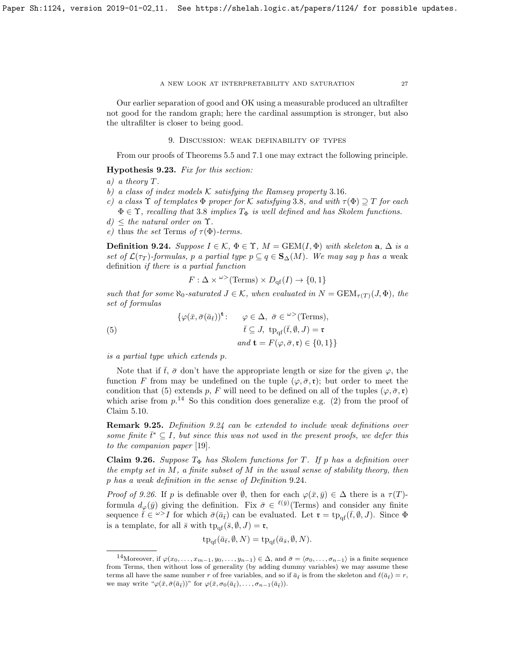Our earlier separation of good and OK using a measurable produced an ultrafilter not good for the random graph; here the cardinal assumption is stronger, but also the ultrafilter is closer to being good.

9. Discussion: weak definability of types

<span id="page-26-0"></span>From our proofs of Theorems [5.5](#page-11-2) and [7.1](#page-19-1) one may extract the following principle.

Hypothesis 9.23. Fix for this section:

- a) a theory T.
- b) a class of index models  $K$  satisfying the Ramsey property 3.[16](#page-8-1).
- c) a class  $\Upsilon$  of templates  $\Phi$  proper for K satisfying [3](#page-7-1).8, and with  $\tau(\Phi) \supseteq T$  for each  $\Phi \in \Upsilon$ , recalling that [3](#page-7-1).8 implies  $T_{\Phi}$  is well defined and has Skolem functions.
- $d) \leq$  the natural order on  $\Upsilon$ .
- e) thus the set Terms of  $\tau(\Phi)$ -terms.

<span id="page-26-3"></span>**Definition 9.24.** Suppose  $I \in \mathcal{K}$ ,  $\Phi \in \Upsilon$ ,  $M = \text{GEM}(I, \Phi)$  with skeleton  $a, \Delta$  is a set of  $\mathcal{L}(\tau_T)$ -formulas, p a partial type  $p \subseteq q \in \mathbf{S}_{\Delta}(M)$ . We may say p has a weak definition if there is a partial function

$$
F: \Delta \times \mathbb{C}^{\geq}(Terms) \times D_{\mathrm{qf}}(I) \to \{0, 1\}
$$

such that for some  $\aleph_0$ -saturated  $J \in \mathcal{K}$ , when evaluated in  $N = \text{GEM}_{\tau(T)}(J, \Phi)$ , the set of formulas

<span id="page-26-1"></span>(5)  
\n
$$
\{\varphi(\bar{x}, \bar{\sigma}(\bar{a}_{\bar{t}}))^{\mathbf{t}}: \varphi \in \Delta, \ \bar{\sigma} \in {}^{\omega>}(\text{Terms}),
$$
\n
$$
\bar{t} \subseteq J, \ \text{tp}_{\text{qf}}(\bar{t}, \emptyset, J) = \mathbf{r}
$$
\n
$$
and \ \mathbf{t} = F(\varphi, \bar{\sigma}, \mathbf{r}) \in \{0, 1\}\}
$$

is a partial type which extends p.

Note that if  $\bar{t}$ ,  $\bar{\sigma}$  don't have the appropriate length or size for the given  $\varphi$ , the function F from may be undefined on the tuple  $(\varphi, \bar{\sigma}, \mathfrak{r})$ ; but order to meet the condition that [\(5\)](#page-26-1) extends p, F will need to be defined on all of the tuples  $(\varphi, \bar{\sigma}, \mathfrak{r})$ which arise from  $p^{14}$  $p^{14}$  $p^{14}$ . So this condition does generalize e.g. [\(2\)](#page-13-4) from the proof of Claim [5.10.](#page-13-0)

Remark 9.25. Definition [9.24](#page-26-3) can be extended to include weak definitions over some finite  $t^* \subseteq I$ , but since this was not used in the present proofs, we defer this to the companion paper [\[19\]](#page-30-4).

<span id="page-26-4"></span>Claim 9.26. Suppose  $T_{\Phi}$  has Skolem functions for T. If p has a definition over the empty set in  $M$ , a finite subset of  $M$  in the usual sense of stability theory, then p has a weak definition in the sense of Definition 9.[24](#page-26-3).

*Proof of [9.26.](#page-26-4)* If p is definable over  $\emptyset$ , then for each  $\varphi(\bar{x}, \bar{y}) \in \Delta$  there is a  $\tau(T)$ formula  $d_{\varphi}(\bar{y})$  giving the definition. Fix  $\bar{\sigma} \in {}^{\ell(\bar{y})}$  (Terms) and consider any finite sequence  $\bar{t} \in \omega > I$  for which  $\bar{\sigma}(\bar{a}_{\bar{t}})$  can be evaluated. Let  $\mathfrak{r} = \text{tp}_{\text{qf}}(\bar{t}, \emptyset, J)$ . Since  $\Phi$ is a template, for all  $\bar{s}$  with  $tp_{\text{qf}}(\bar{s}, \emptyset, J) = r$ ,

$$
\text{tp}_{\text{qf}}(\bar{a}_{\bar{t}}, \emptyset, N) = \text{tp}_{\text{qf}}(\bar{a}_{\bar{s}}, \emptyset, N).
$$

<span id="page-26-2"></span><sup>&</sup>lt;sup>14</sup>Moreover, if  $\varphi(x_0,\ldots,x_{m-1},y_0,\ldots,y_{n-1}) \in \Delta$ , and  $\bar{\sigma} = \langle \sigma_0,\ldots,\sigma_{n-1} \rangle$  is a finite sequence from Terms, then without loss of generality (by adding dummy variables) we may assume these terms all have the same number r of free variables, and so if  $\bar{a}_{\bar{t}}$  is from the skeleton and  $\ell(\bar{a}_{\bar{t}}) = r$ , we may write " $\varphi(\bar{x}, \bar{\sigma}(\bar{a}_{\bar{t}}))$ " for  $\varphi(\bar{x}, \sigma_0(\bar{a}_{\bar{t}}), \ldots, \sigma_{n-1}(\bar{a}_{\bar{t}})).$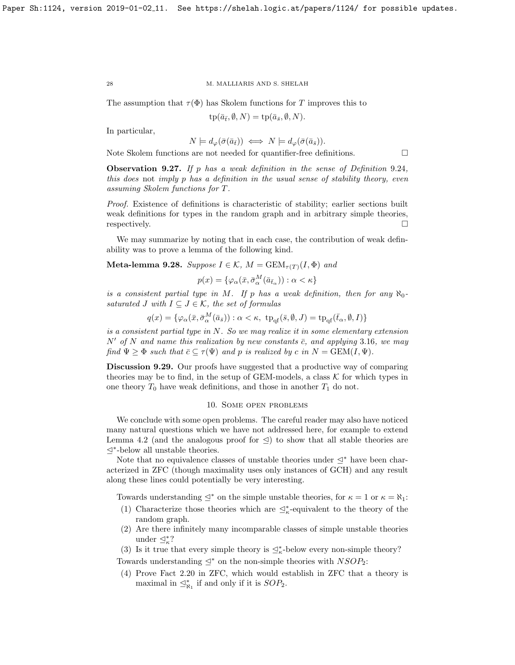The assumption that  $\tau(\Phi)$  has Skolem functions for T improves this to

$$
tp(\bar{a}_{\bar{t}}, \emptyset, N) = tp(\bar{a}_{\bar{s}}, \emptyset, N).
$$

In particular,

$$
N \models d_{\varphi}(\bar{\sigma}(\bar{a}_{\bar{t}})) \iff N \models d_{\varphi}(\bar{\sigma}(\bar{a}_{\bar{s}})).
$$

Note Skolem functions are not needed for quantifier-free definitions.

**Observation 9.27.** If p has a weak definition in the sense of Definition 9.[24](#page-26-3), this does not imply p has a definition in the usual sense of stability theory, even assuming Skolem functions for T.

Proof. Existence of definitions is characteristic of stability; earlier sections built weak definitions for types in the random graph and in arbitrary simple theories, respectively.

We may summarize by noting that in each case, the contribution of weak definability was to prove a lemma of the following kind.

Meta-lemma 9.28. Suppose  $I \in \mathcal{K}$ ,  $M = \text{GEM}_{\tau(T)}(I, \Phi)$  and

$$
p(x) = \{ \varphi_{\alpha}(\bar{x}, \bar{\sigma}^{M}_{\alpha}(\bar{a}_{\bar{t}_{\alpha}})) : \alpha < \kappa \}
$$

is a consistent partial type in M. If p has a weak definition, then for any  $\aleph_0$ saturated J with  $I \subseteq J \in \mathcal{K}$ , the set of formulas

$$
q(x)=\{\varphi_{\alpha}(\bar{x},\bar{\sigma}_{\alpha}^M(\bar{a}_{\bar{s}})): \alpha<\kappa,\ \operatorname{tp}_{\mathrm{qf}}(\bar{s},\emptyset, J)=\operatorname{tp}_{\mathrm{qf}}(\bar{t}_{\alpha},\emptyset, I)\}
$$

is a consistent partial type in N. So we may realize it in some elementary extension  $N'$  of N and name this realization by new constants  $\bar{c}$ , and applying 3.[16](#page-8-1), we may find  $\Psi \geq \Phi$  such that  $\bar{c} \subseteq \tau(\Psi)$  and p is realized by c in  $N = \text{GEM}(I, \Psi)$ .

Discussion 9.29. Our proofs have suggested that a productive way of comparing theories may be to find, in the setup of GEM-models, a class  $K$  for which types in one theory  $T_0$  have weak definitions, and those in another  $T_1$  do not.

## 10. Some open problems

<span id="page-27-0"></span>We conclude with some open problems. The careful reader may also have noticed many natural questions which we have not addressed here, for example to extend Lemma [4.2](#page-9-1) (and the analogous proof for  $\triangleleft$ ) to show that all stable theories are E<sup>∗</sup> -below all unstable theories.

Note that no equivalence classes of unstable theories under  $\leq^*$  have been characterized in ZFC (though maximality uses only instances of GCH) and any result along these lines could potentially be very interesting.

Towards understanding  $\leq^*$  on the simple unstable theories, for  $\kappa = 1$  or  $\kappa = \aleph_1$ :

- (1) Characterize those theories which are  $\trianglelefteq^*_{\kappa}$ -equivalent to the theory of the random graph.
- (2) Are there infinitely many incomparable classes of simple unstable theories under  $\trianglelefteq^*_{\kappa}$ ?
- <span id="page-27-1"></span>(3) Is it true that every simple theory is  $\mathcal{L}_{\kappa}^*$ -below every non-simple theory?

Towards understanding  $\leq^*$  on the non-simple theories with  $NSOP_2$ :

(4) Prove Fact 2.[20](#page-6-1) in ZFC, which would establish in ZFC that a theory is maximal in  $\mathcal{Q}_{\aleph_1}^*$  if and only if it is  $SOP_2$ .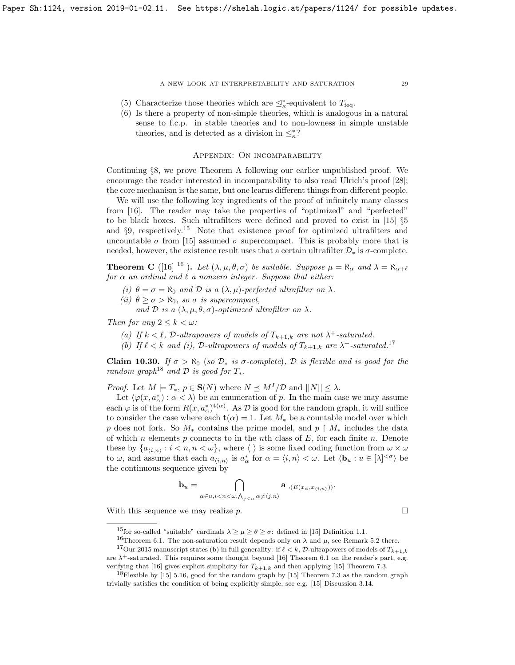- (5) Characterize those theories which are  $\trianglelefteq^*_\kappa\text{-equivalent to }T_{\text{feq}}.$
- (6) Is there a property of non-simple theories, which is analogous in a natural sense to f.c.p. in stable theories and to non-lowness in simple unstable theories, and is detected as a division in  $\leq^*_\kappa$ ?

## <span id="page-28-0"></span>Appendix: On incomparability

Continuing §[8,](#page-25-0) we prove Theorem A following our earlier unpublished proof. We encourage the reader interested in incomparability to also read Ulrich's proof [\[28\]](#page-30-9); the core mechanism is the same, but one learns different things from different people.

We will use the following key ingredients of the proof of infinitely many classes from [\[16\]](#page-29-6). The reader may take the properties of "optimized" and "perfected" to be black boxes. Such ultrafilters were defined and proved to exist in [\[15\]](#page-29-3) §5 and  $\S9$ , respectively.<sup>[15](#page-28-1)</sup> Note that existence proof for optimized ultrafilters and uncountable  $\sigma$  from [\[15\]](#page-29-3) assumed  $\sigma$  supercompact. This is probably more that is needed, however, the existence result uses that a certain ultrafilter  $\mathcal{D}_*$  is  $\sigma$ -complete.

<span id="page-28-6"></span>**Theorem C** ([\[16\]](#page-29-6) <sup>[16](#page-28-2)</sup>). Let  $(\lambda, \mu, \theta, \sigma)$  be suitable. Suppose  $\mu = \aleph_{\alpha}$  and  $\lambda = \aleph_{\alpha+\ell}$ for  $\alpha$  an ordinal and  $\ell$  a nonzero integer. Suppose that either:

- (i)  $\theta = \sigma = \aleph_0$  and  $\mathcal D$  is a  $(\lambda, \mu)$ -perfected ultrafilter on  $\lambda$ .
- (ii)  $\theta \geq \sigma > \aleph_0$ , so  $\sigma$  is supercompact,

and D is a  $(\lambda, \mu, \theta, \sigma)$ -optimized ultrafilter on  $\lambda$ .

Then for any  $2 \leq k < \omega$ :

- (a) If  $k < \ell$ , D-ultrapowers of models of  $T_{k+1,k}$  are not  $\lambda^+$ -saturated.
- (b) If  $\ell < k$  and (i), D-ultrapowers of models of  $T_{k+1,k}$  are  $\lambda^+$ -saturated.<sup>[17](#page-28-3)</sup>

<span id="page-28-5"></span>Claim 10.30. If  $\sigma > \aleph_0$  (so  $\mathcal{D}_*$  is  $\sigma$ -complete),  $\mathcal D$  is flexible and is good for the random graph<sup>[18](#page-28-4)</sup> and  $\mathcal D$  is good for  $T_*$ .

*Proof.* Let  $M \models T_*, p \in \mathbf{S}(N)$  where  $N \preceq M^I/\mathcal{D}$  and  $||N|| \leq \lambda$ .

Let  $\langle \varphi(x, a^*_{\alpha}) : \alpha < \lambda \rangle$  be an enumeration of p. In the main case we may assume each  $\varphi$  is of the form  $R(x, a^*_{\alpha})^{t(\alpha)}$ . As  $\mathcal D$  is good for the random graph, it will suffice to consider the case where each  $\mathbf{t}(\alpha) = 1$ . Let  $M_*$  be a countable model over which p does not fork. So  $M_*$  contains the prime model, and p  $\restriction M_*$  includes the data of which n elements p connects to in the nth class of  $E$ , for each finite n. Denote these by  $\{a_{\langle i,n\rangle}: i < n, n < \omega\}$ , where  $\langle \ \rangle$  is some fixed coding function from  $\omega \times \omega$ to  $\omega$ , and assume that each  $a_{\langle i,n\rangle}$  is  $a^*_{\alpha}$  for  $\alpha = \langle i,n\rangle < \omega$ . Let  $\langle \mathbf{b}_u : u \in [\lambda]^{<\sigma} \rangle$  be the continuous sequence given by

$$
\mathbf{b}_u = \bigcap_{\alpha \in u, i < n < \omega, \bigwedge_{j < n} \alpha \neq \langle j, n \rangle} \mathbf{a}_{\neg(E(x_\alpha, x_{\langle i, n \rangle}))}.
$$

With this sequence we may realize p.  $\Box$ 

<span id="page-28-1"></span><sup>&</sup>lt;sup>15</sup>for so-called "suitable" cardinals  $\lambda \geq \mu \geq \theta \geq \sigma$ : defined in [\[15\]](#page-29-3) Definition 1.1.

<span id="page-28-2"></span><sup>&</sup>lt;sup>16</sup>Theorem 6.1. The non-saturation result depends only on  $\lambda$  and  $\mu$ , see Remark 5.2 there.

<span id="page-28-3"></span><sup>&</sup>lt;sup>17</sup>Our 2015 manuscript states (b) in full generality: if  $\ell < k$ , D-ultrapowers of models of  $T_{k+1,k}$ 

are  $\lambda^+$ -saturated. This requires some thought beyond [\[16\]](#page-29-6) Theorem 6.1 on the reader's part, e.g. verifying that [\[16\]](#page-29-6) gives explicit simplicity for  $T_{k+1,k}$  and then applying [\[15\]](#page-29-3) Theorem 7.3.

<span id="page-28-4"></span><sup>&</sup>lt;sup>18</sup>Flexible by  $[15]$  5.16, good for the random graph by  $[15]$  Theorem 7.3 as the random graph trivially satisfies the condition of being explicitly simple, see e.g. [\[15\]](#page-29-3) Discussion 3.14.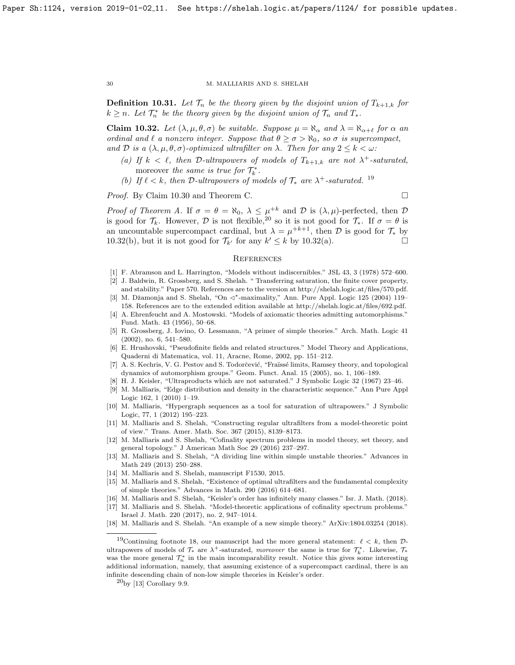**Definition 10.31.** Let  $\mathcal{T}_n$  be the theory given by the disjoint union of  $T_{k+1,k}$  for  $k \geq n$ . Let  $\mathcal{T}_n^*$  be the theory given by the disjoint union of  $\mathcal{T}_n$  and  $T_*$ .

<span id="page-29-17"></span>**Claim 10.32.** Let  $(\lambda, \mu, \theta, \sigma)$  be suitable. Suppose  $\mu = \aleph_{\alpha}$  and  $\lambda = \aleph_{\alpha+\ell}$  for  $\alpha$  an ordinal and  $\ell$  a nonzero integer. Suppose that  $\theta \ge \sigma > \aleph_0$ , so  $\sigma$  is supercompact, and D is a  $(\lambda, \mu, \theta, \sigma)$ -optimized ultrafilter on  $\lambda$ . Then for any  $2 \leq k < \omega$ :

- (a) If  $k < \ell$ , then D-ultrapowers of models of  $T_{k+1,k}$  are not  $\lambda^+$ -saturated, moreover the same is true for  $\mathcal{T}_{k}^{*}$ .
- (b) If  $\ell < k$ , then D-ultrapowers of models of  $\mathcal{T}_{*}$  are  $\lambda^{+}$ -saturated. <sup>[19](#page-29-15)</sup>

Proof. By Claim [10.30](#page-28-5) and Theorem [C.](#page-28-6)

Proof of Theorem A. If  $\sigma = \theta = \aleph_0$ ,  $\lambda \leq \mu^{+k}$  and  $\mathcal{D}$  is  $(\lambda, \mu)$ -perfected, then  $\mathcal{D}$ is good for  $\mathcal{T}_k$ . However,  $\mathcal D$  is not flexible,<sup>[20](#page-29-16)</sup> so it is not good for  $\mathcal{T}_*$ . If  $\sigma = \theta$  is an uncountable supercompact cardinal, but  $\lambda = \mu^{+k+1}$ , then  $\mathcal D$  is good for  $\mathcal T_*$  by [10.32\(](#page-29-17)b), but it is not good for  $\mathcal{T}_{k'}$  for any  $k' \leq k$  by [10.32\(](#page-29-17)a).

## **REFERENCES**

- <span id="page-29-9"></span>[1] F. Abramson and L. Harrington, "Models without indiscernibles." JSL 43, 3 (1978) 572–600.
- <span id="page-29-4"></span>[2] J. Baldwin, R. Grossberg, and S. Shelah. " Transferring saturation, the finite cover property, and stability." Paper 570. References are to the version at http://shelah.logic.at/files/570.pdf.
- <span id="page-29-1"></span>[3] M. Džamonja and S. Shelah, "On  $\lhd^*$ -maximality," Ann. Pure Appl. Logic 125 (2004) 119– 158. References are to the extended edition available at http://shelah.logic.at/files/692.pdf.
- <span id="page-29-8"></span>[4] A. Ehrenfeucht and A. Mostowski. "Models of axiomatic theories admitting automorphisms." Fund. Math. 43 (1956), 50–68.
- [5] R. Grossberg, J. Iovino, O. Lessmann, "A primer of simple theories." Arch. Math. Logic 41 (2002), no. 6, 541–580.
- [6] E. Hrushovski, "Pseudofinite fields and related structures." Model Theory and Applications, Quaderni di Matematica, vol. 11, Aracne, Rome, 2002, pp. 151–212.
- <span id="page-29-7"></span>[7] A. S. Kechris, V. G. Pestov and S. Todorčević, "Fraïssé limits, Ramsey theory, and topological dynamics of automorphism groups." Geom. Funct. Anal. 15 (2005), no. 1, 106–189.
- <span id="page-29-2"></span>[8] H. J. Keisler, "Ultraproducts which are not saturated." J Symbolic Logic 32 (1967) 23–46.
- [9] M. Malliaris, "Edge distribution and density in the characteristic sequence." Ann Pure Appl Logic 162, 1 (2010) 1–19.
- <span id="page-29-10"></span>[10] M. Malliaris, "Hypergraph sequences as a tool for saturation of ultrapowers." J Symbolic Logic, 77, 1 (2012) 195–223.
- <span id="page-29-14"></span>[11] M. Malliaris and S. Shelah, "Constructing regular ultrafilters from a model-theoretic point of view." Trans. Amer. Math. Soc. 367 (2015), 8139–8173.
- <span id="page-29-5"></span>[12] M. Malliaris and S. Shelah, "Cofinality spectrum problems in model theory, set theory, and general topology." J American Math Soc 29 (2016) 237–297.
- <span id="page-29-11"></span>[13] M. Malliaris and S. Shelah, "A dividing line within simple unstable theories." Advances in Math 249 (2013) 250–288.
- <span id="page-29-12"></span>[14] M. Malliaris and S. Shelah, manuscript F1530, 2015.
- <span id="page-29-3"></span>[15] M. Malliaris and S. Shelah, "Existence of optimal ultrafilters and the fundamental complexity of simple theories." Advances in Math. 290 (2016) 614–681.
- <span id="page-29-6"></span>[16] M. Malliaris and S. Shelah, "Keisler's order has infinitely many classes." Isr. J. Math. (2018).
- <span id="page-29-0"></span>[17] M. Malliaris and S. Shelah. "Model-theoretic applications of cofinality spectrum problems."
- <span id="page-29-13"></span>Israel J. Math. 220 (2017), no. 2, 947–1014. [18] M. Malliaris and S. Shelah. "An example of a new simple theory." ArXiv:1804.03254 (2018).

<span id="page-29-16"></span> $^{20}$ by [\[13\]](#page-29-11) Corollary 9.9.

<span id="page-29-15"></span><sup>&</sup>lt;sup>19</sup>Continuing footnote 18, our manuscript had the more general statement:  $\ell < k$ , then Dultrapowers of models of  $\mathcal{T}_{*}$  are  $\lambda^{+}$ -saturated, moreover the same is true for  $\mathcal{T}_{k}^{*}$ . Likewise,  $\mathcal{T}_{*}$ was the more general  $\mathcal{T}_n^*$  in the main incomparability result. Notice this gives some interesting additional information, namely, that assuming existence of a supercompact cardinal, there is an infinite descending chain of non-low simple theories in Keisler's order.